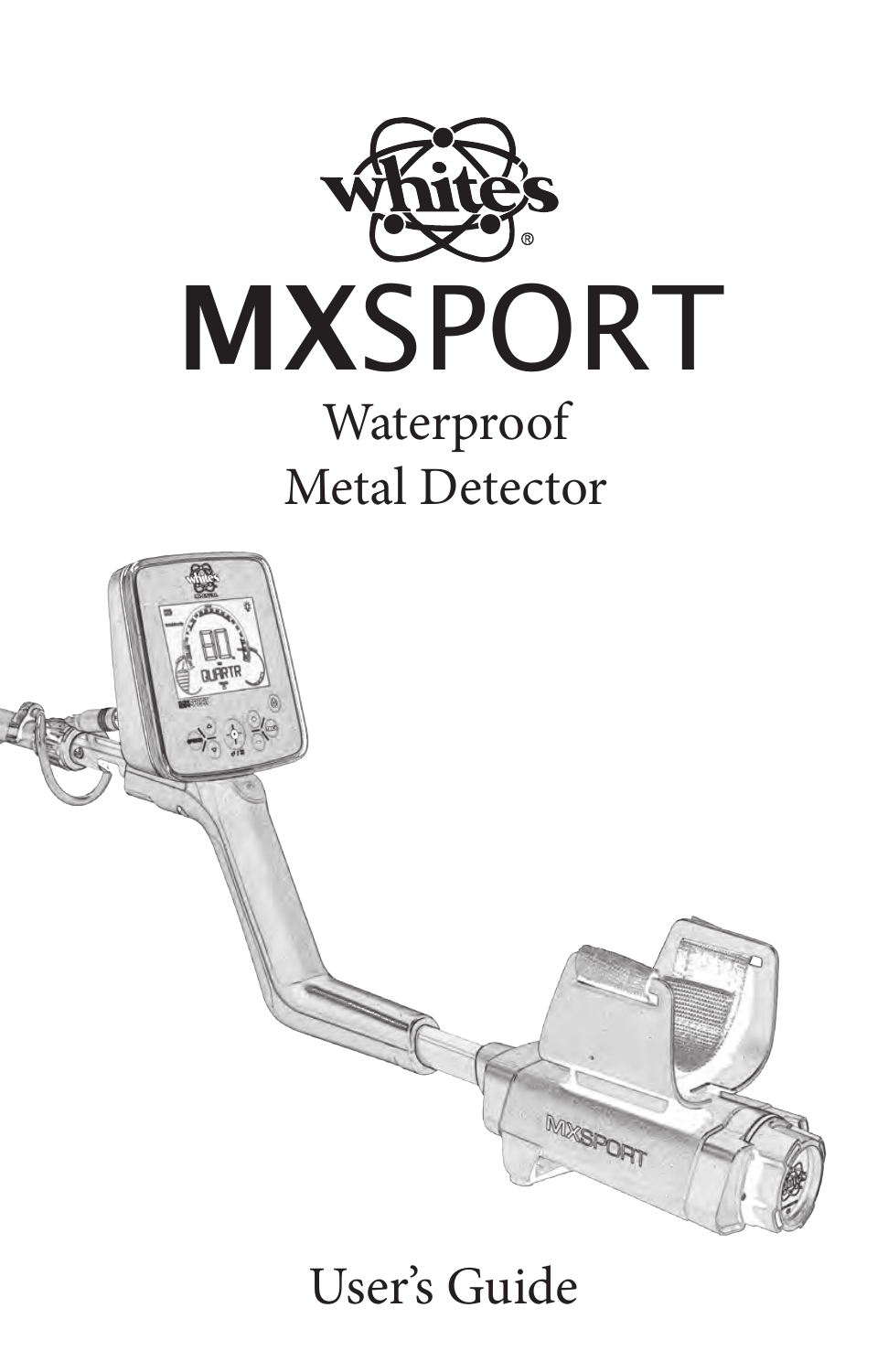



# User's Guide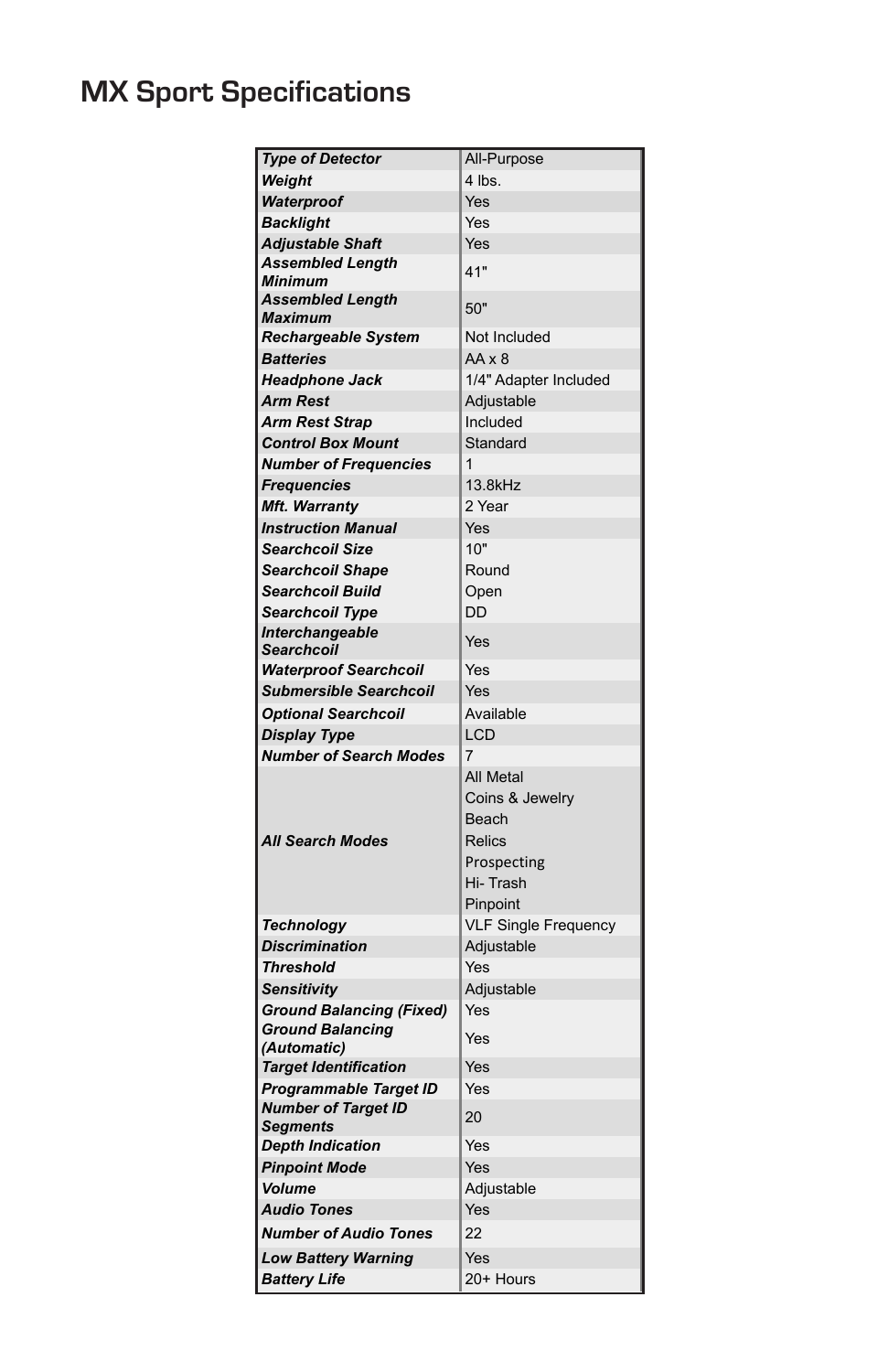# **Specifications MX Sport Specifications**

| <b>Type of Detector</b>                          | All-Purpose                                                                            |
|--------------------------------------------------|----------------------------------------------------------------------------------------|
| Weight                                           | 4 lbs.                                                                                 |
| Waterproof                                       | Yes                                                                                    |
| <b>Backlight</b>                                 | Yes                                                                                    |
| Adjustable Shaft                                 | Yes                                                                                    |
| <b>Assembled Length</b><br>Minimum               | 41"                                                                                    |
| <b>Assembled Length</b><br>Maximum               | 50"                                                                                    |
| Rechargeable System                              | Not Included                                                                           |
| <b>Batteries</b>                                 | $AA \times 8$                                                                          |
| <b>Headphone Jack</b>                            | 1/4" Adapter Included                                                                  |
| <b>Arm Rest</b>                                  | Adjustable                                                                             |
| <b>Arm Rest Strap</b>                            | Included                                                                               |
| <b>Control Box Mount</b>                         | Standard                                                                               |
| <b>Number of Frequencies</b>                     | 1                                                                                      |
| <b>Frequencies</b>                               | 13.8kHz                                                                                |
| Mft. Warranty                                    | 2 Year                                                                                 |
| <b>Instruction Manual</b>                        | Yes                                                                                    |
| <b>Searchcoil Size</b>                           | 10"                                                                                    |
| <b>Searchcoil Shape</b>                          | Round                                                                                  |
| Searchcoil Build                                 | Open                                                                                   |
|                                                  | DD                                                                                     |
| <b>Searchcoil Type</b><br><b>Interchangeable</b> |                                                                                        |
| <b>Searchcoil</b>                                | Yes                                                                                    |
| <b>Waterproof Searchcoil</b>                     | Yes                                                                                    |
| <b>Submersible Searchcoil</b>                    | Yes                                                                                    |
| <b>Optional Searchcoil</b>                       | Available                                                                              |
| <b>Display Type</b>                              | LCD                                                                                    |
| <b>Number of Search Modes</b>                    | 7                                                                                      |
| <b>All Search Modes</b>                          | All Metal<br>Coins & Jewelry<br>Beach<br>Relics<br>Prospecting<br>Hi-Trash<br>Pinpoint |
| <b>Technology</b>                                | <b>VLF Single Frequency</b>                                                            |
| <b>Discrimination</b>                            | Adjustable                                                                             |
| <b>Threshold</b>                                 | Yes                                                                                    |
| <b>Sensitivity</b>                               | Adjustable                                                                             |
| <b>Ground Balancing (Fixed)</b>                  | Yes                                                                                    |
| <b>Ground Balancing</b><br>(Automatic)           | Yes                                                                                    |
| <b>Target Identification</b>                     | Yes                                                                                    |
| Programmable Target ID                           | Yes                                                                                    |
| <b>Number of Target ID</b>                       |                                                                                        |
| Segments                                         | 20                                                                                     |
| <b>Depth Indication</b>                          | Yes                                                                                    |
| <b>Pinpoint Mode</b>                             | Yes                                                                                    |
| <b>Volume</b>                                    | Adjustable                                                                             |
| <b>Audio Tones</b>                               | Yes                                                                                    |
| <b>Number of Audio Tones</b>                     | 22                                                                                     |
| <b>Low Battery Warning</b>                       | Yes                                                                                    |
| <b>Battery Life</b>                              | 20+ Hours                                                                              |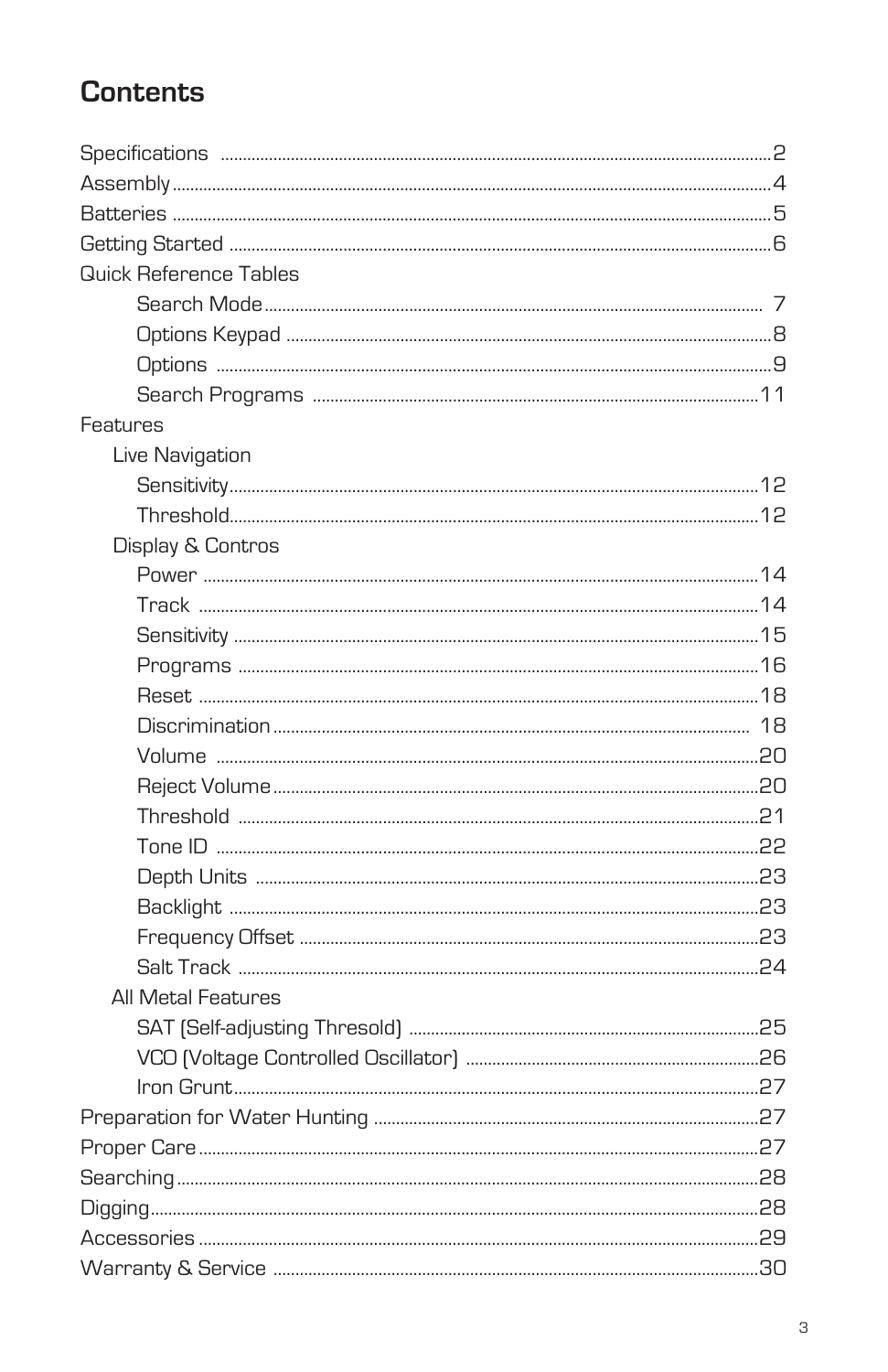# **Contents**

| Quick Reference Tables |  |
|------------------------|--|
|                        |  |
|                        |  |
|                        |  |
|                        |  |
| Features               |  |
| Live Navigation        |  |
|                        |  |
|                        |  |
| Display & Contros      |  |
|                        |  |
|                        |  |
|                        |  |
|                        |  |
|                        |  |
|                        |  |
|                        |  |
|                        |  |
|                        |  |
|                        |  |
|                        |  |
|                        |  |
|                        |  |
|                        |  |
| All Metal Features     |  |
|                        |  |
|                        |  |
|                        |  |
|                        |  |
|                        |  |
|                        |  |
|                        |  |
|                        |  |
|                        |  |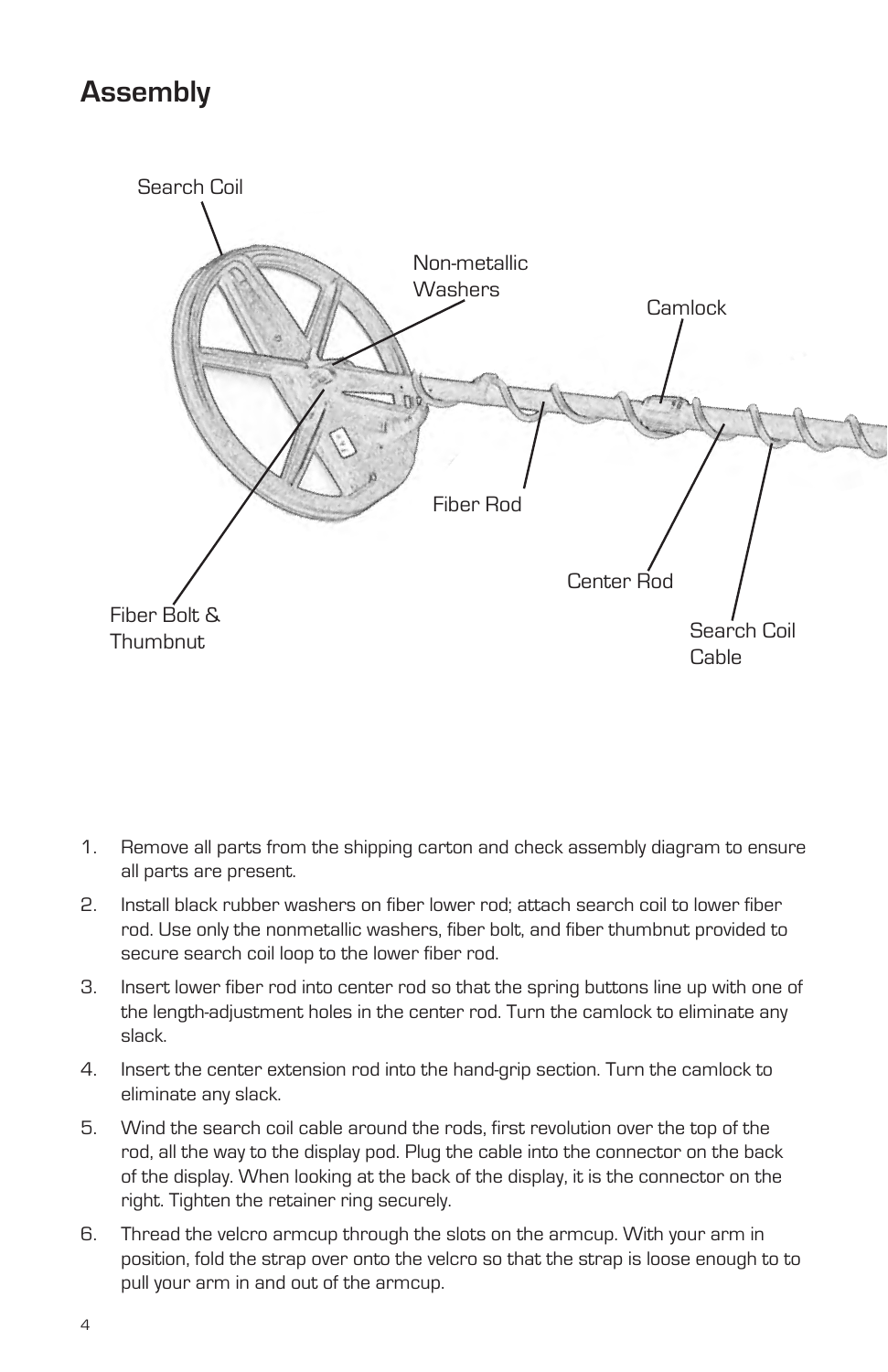# **Assembly**



- 1. Remove all parts from the shipping carton and check assembly diagram to ensure all parts are present.
- 2. Install black rubber washers on fiber lower rod; attach search coil to lower fiber rod. Use only the nonmetallic washers, fiber bolt, and fiber thumbnut provided to secure search coil loop to the lower fiber rod.
- 3. Insert lower fiber rod into center rod so that the spring buttons line up with one of the length-adjustment holes in the center rod. Turn the camlock to eliminate any slack.
- 4. Insert the center extension rod into the hand-grip section. Turn the camlock to eliminate any slack.
- 5. Wind the search coil cable around the rods, first revolution over the top of the rod, all the way to the display pod. Plug the cable into the connector on the back of the display. When looking at the back of the display, it is the connector on the right. Tighten the retainer ring securely.
- 6. Thread the velcro armcup through the slots on the armcup. With your arm in position, fold the strap over onto the velcro so that the strap is loose enough to to pull your arm in and out of the armcup.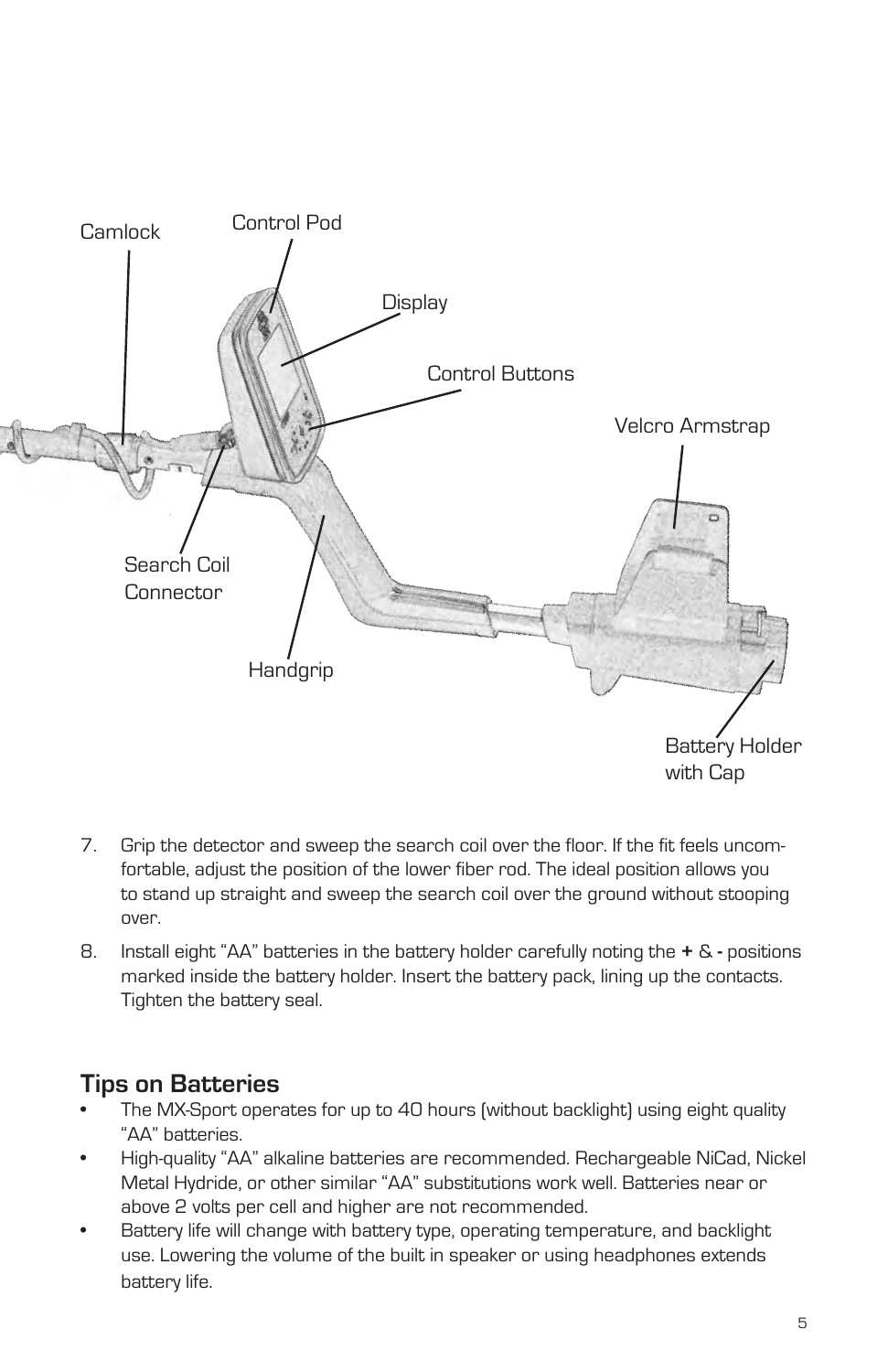

- 7. Grip the detector and sweep the search coil over the floor. If the fit feels uncomfortable, adjust the position of the lower fiber rod. The ideal position allows you to stand up straight and sweep the search coil over the ground without stooping over.
- 8. Install eight "AA" batteries in the battery holder carefully noting the **+** &positions marked inside the battery holder. Insert the battery pack, lining up the contacts. Tighten the battery seal.

#### **Tips on Batteries**

- The MX-Sport operates for up to 40 hours (without backlight) using eight quality "AA" batteries.
- High-quality "AA" alkaline batteries are recommended. Rechargeable NiCad, Nickel Metal Hydride, or other similar "AA" substitutions work well. Batteries near or above 2 volts per cell and higher are not recommended.
- Battery life will change with battery type, operating temperature, and backlight use. Lowering the volume of the built in speaker or using headphones extends battery life.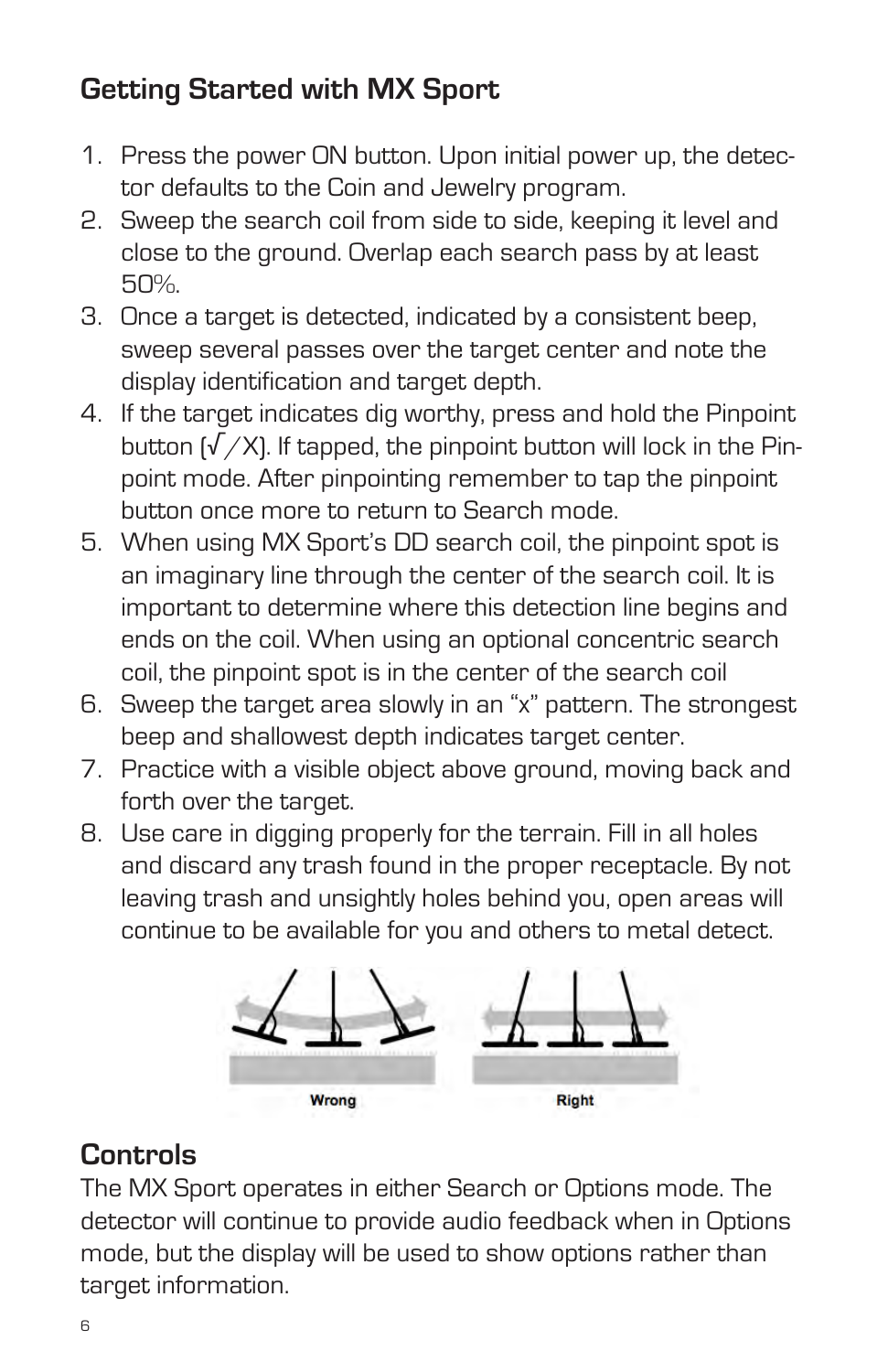# **Getting Started with MX Sport**

- 1. Press the power ON button. Upon initial power up, the detector defaults to the Coin and Jewelry program.
- 2. Sweep the search coil from side to side, keeping it level and close to the ground. Overlap each search pass by at least 50%.
- 3. Once a target is detected, indicated by a consistent beep, sweep several passes over the target center and note the display identification and target depth.
- 4. If the target indicates dig worthy, press and hold the Pinpoint button  $\sqrt{X}$ . If tapped, the pinpoint button will lock in the Pinpoint mode. After pinpointing remember to tap the pinpoint button once more to return to Search mode.
- 5. When using MX Sport's DD search coil, the pinpoint spot is an imaginary line through the center of the search coil. It is important to determine where this detection line begins and ends on the coil. When using an optional concentric search coil, the pinpoint spot is in the center of the search coil
- 6. Sweep the target area slowly in an "x" pattern. The strongest beep and shallowest depth indicates target center.
- 7. Practice with a visible object above ground, moving back and forth over the target.
- 8. Use care in digging properly for the terrain. Fill in all holes and discard any trash found in the proper receptacle. By not leaving trash and unsightly holes behind you, open areas will continue to be available for you and others to metal detect.



## **Controls**

The MX Sport operates in either Search or Options mode. The detector will continue to provide audio feedback when in Options mode, but the display will be used to show options rather than target information.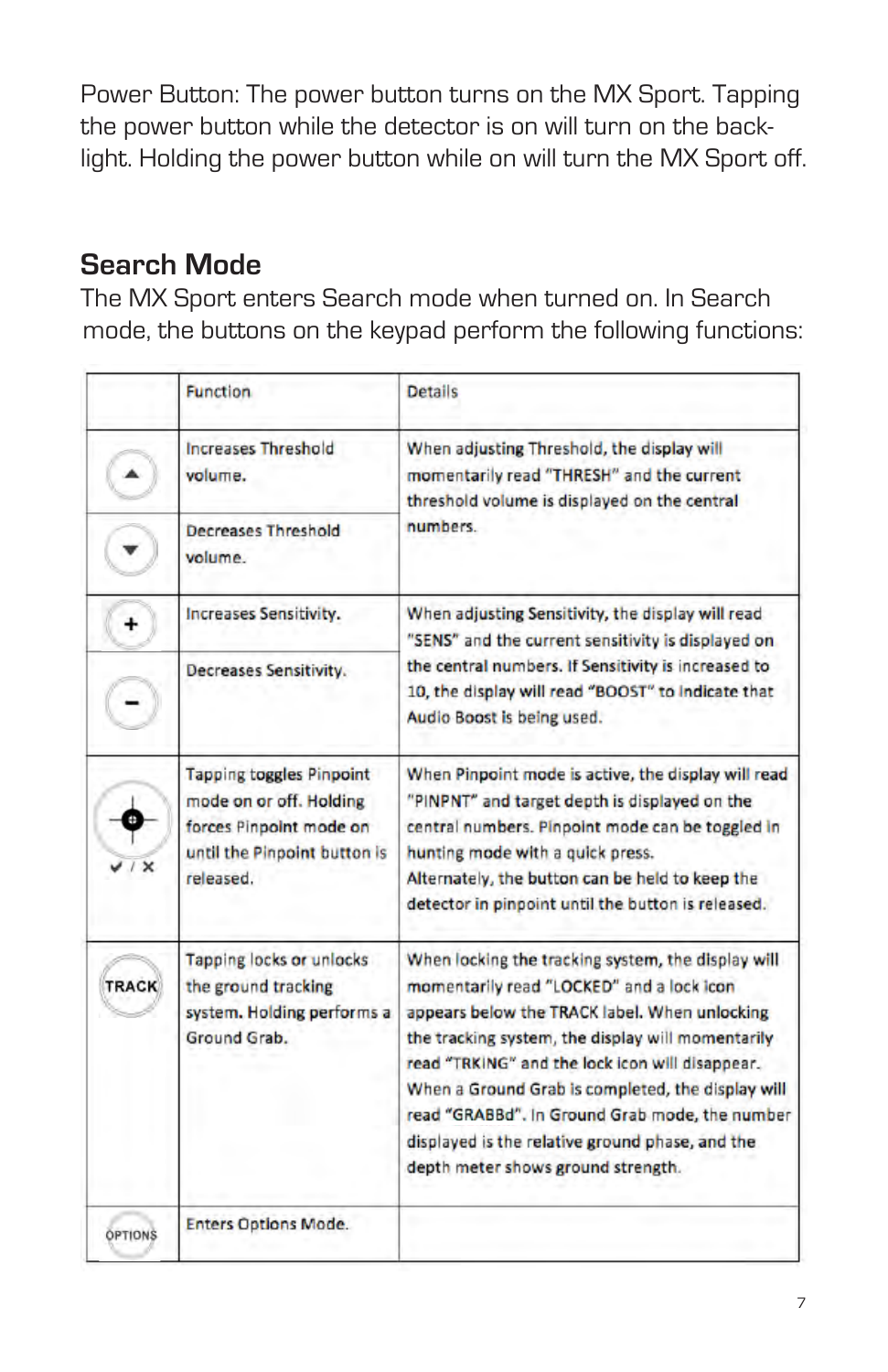Power Button: The power button turns on the MX Sport. Tapping the power button while the detector is on will turn on the backlight. Holding the power button while on will turn the MX Sport off.

# **Search Mode**

The MX Sport enters Search mode when turned on. In Search mode, the buttons on the keypad perform the following functions:

|                | <b>Function</b>                                                                                                       | <b>Details</b>                                                                                                                                                                                                                                                                                                                                                                                                                                           |  |  |
|----------------|-----------------------------------------------------------------------------------------------------------------------|----------------------------------------------------------------------------------------------------------------------------------------------------------------------------------------------------------------------------------------------------------------------------------------------------------------------------------------------------------------------------------------------------------------------------------------------------------|--|--|
|                | <b>Increases Threshold</b><br>volume.<br>Decreases Threshold                                                          | When adjusting Threshold, the display will<br>momentarily read "THRESH" and the current<br>threshold volume is displayed on the central<br>numbers.                                                                                                                                                                                                                                                                                                      |  |  |
|                | volume                                                                                                                |                                                                                                                                                                                                                                                                                                                                                                                                                                                          |  |  |
| $\ddot{}$      | Increases Sensitivity.                                                                                                | When adjusting Sensitivity, the display will read<br>"SENS" and the current sensitivity is displayed on                                                                                                                                                                                                                                                                                                                                                  |  |  |
|                | Decreases Sensitivity.                                                                                                | the central numbers. If Sensitivity is increased to<br>10, the display will read "BOOST" to indicate that<br>Audio Boost is being used.                                                                                                                                                                                                                                                                                                                  |  |  |
|                | <b>Tapping toggles Pinpoint</b><br>mode on or off. Holding<br>forces Pinpoint mode on<br>until the Pinpoint button is | When Pinpoint mode is active, the display will read<br>"PINPNT" and target depth is displayed on the<br>central numbers. Pinpoint mode can be toggled in<br>hunting mode with a quick press.                                                                                                                                                                                                                                                             |  |  |
|                | released.                                                                                                             | Alternately, the button can be held to keep the<br>detector in pinpoint until the button is released.                                                                                                                                                                                                                                                                                                                                                    |  |  |
| <b>TRACK</b>   | Tapping locks or unlocks<br>the ground tracking<br>system. Holding performs a<br>Ground Grab.                         | When locking the tracking system, the display will<br>momentarily read "LOCKED" and a lock icon<br>appears below the TRACK label. When unlocking<br>the tracking system, the display will momentarily<br>read "TRKING" and the lock icon will disappear.<br>When a Ground Grab is completed, the display will<br>read "GRABBd". In Ground Grab mode, the number<br>displayed is the relative ground phase, and the<br>depth meter shows ground strength. |  |  |
| <b>OPTIONS</b> | <b>Enters Options Mode.</b>                                                                                           |                                                                                                                                                                                                                                                                                                                                                                                                                                                          |  |  |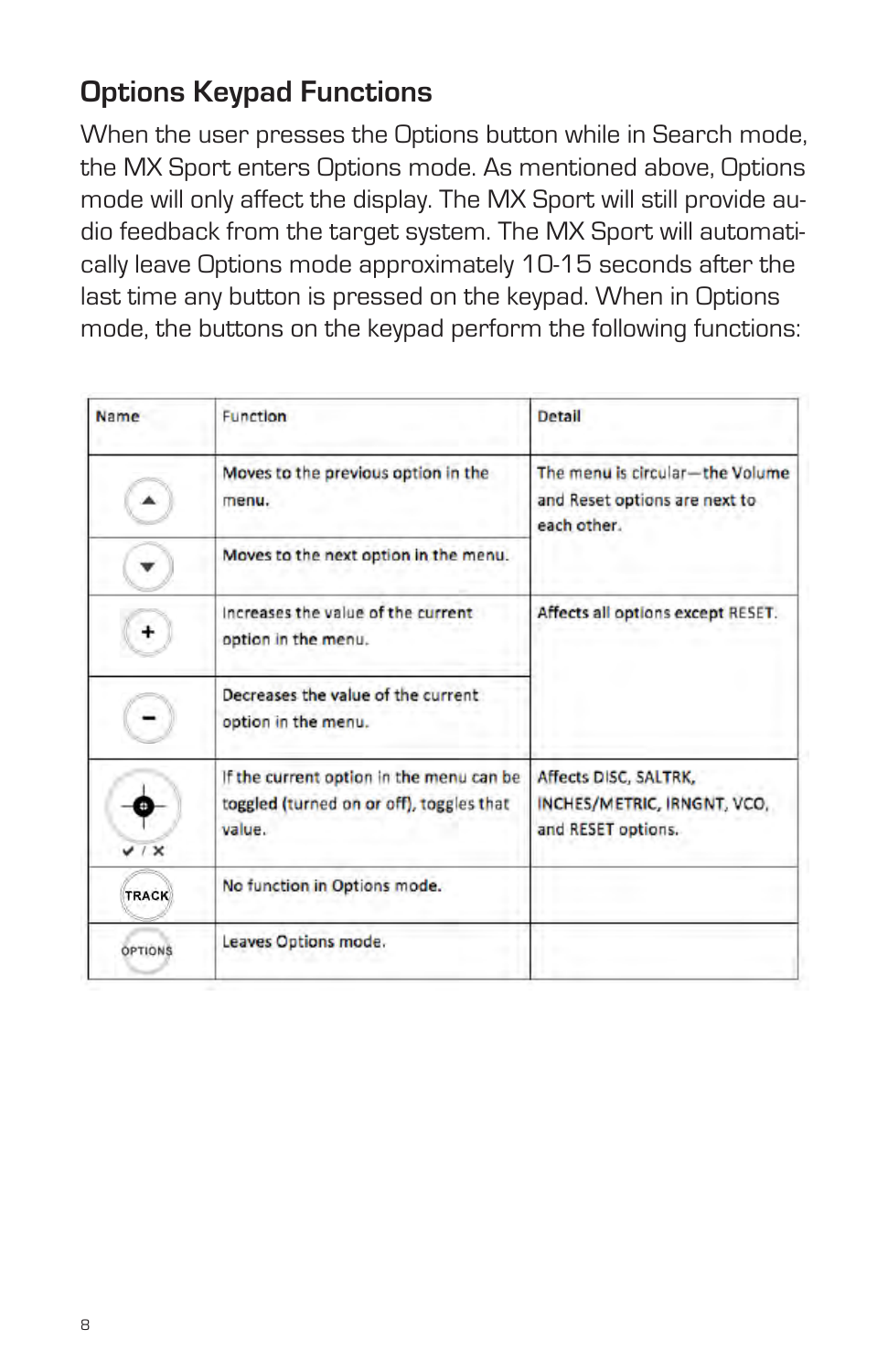# **Options Keypad Functions**

When the user presses the Options button while in Search mode, the MX Sport enters Options mode. As mentioned above, Options mode will only affect the display. The MX Sport will still provide audio feedback from the target system. The MX Sport will automatically leave Options mode approximately 10-15 seconds after the last time any button is pressed on the keypad. When in Options mode, the buttons on the keypad perform the following functions:

| Name         | Function                                                                                       | <b>Detail</b>                                                                   |  |  |
|--------------|------------------------------------------------------------------------------------------------|---------------------------------------------------------------------------------|--|--|
|              | Moves to the previous option in the<br>menu.                                                   | The menu is circular-the Volume<br>and Reset options are next to<br>each other. |  |  |
|              | Moves to the next option in the menu.                                                          |                                                                                 |  |  |
| +            | increases the value of the current<br>option in the menu.                                      | Affects all options except RESET.                                               |  |  |
|              | Decreases the value of the current<br>option in the menu.                                      |                                                                                 |  |  |
|              | If the current option in the menu can be<br>toggled (turned on or off), toggles that<br>value. | Affects DISC, SALTRK,<br>INCHES/METRIC, IRNGNT, VCO,<br>and RESET options.      |  |  |
| <b>TRACK</b> | No function in Options mode.                                                                   |                                                                                 |  |  |
| OPTIONS      | Leaves Options mode.                                                                           |                                                                                 |  |  |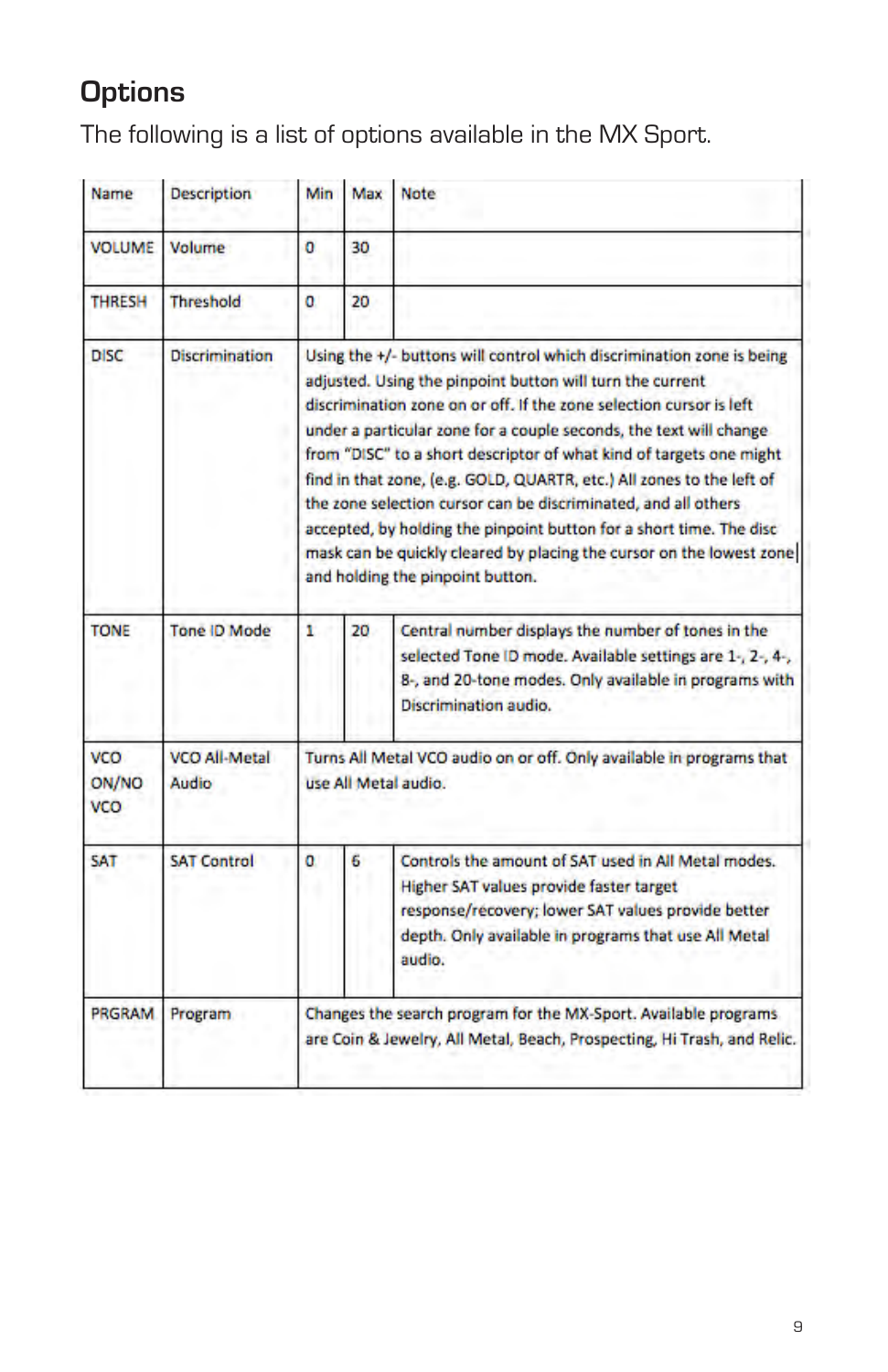# **Options**

The following is a list of options available in the MX Sport.

| Name                              | <b>Description</b>            | Min                                                                                                                                                                                                                                                                                                                                                                                                                                                                                                                                                                                                                                                                                  | Max | Note                                                                                                                                                                                                                   |
|-----------------------------------|-------------------------------|--------------------------------------------------------------------------------------------------------------------------------------------------------------------------------------------------------------------------------------------------------------------------------------------------------------------------------------------------------------------------------------------------------------------------------------------------------------------------------------------------------------------------------------------------------------------------------------------------------------------------------------------------------------------------------------|-----|------------------------------------------------------------------------------------------------------------------------------------------------------------------------------------------------------------------------|
| <b>VOLUME</b>                     | Volume                        | o                                                                                                                                                                                                                                                                                                                                                                                                                                                                                                                                                                                                                                                                                    | 30  |                                                                                                                                                                                                                        |
| <b>THRESH</b>                     | <b>Threshold</b>              | o                                                                                                                                                                                                                                                                                                                                                                                                                                                                                                                                                                                                                                                                                    | 20  |                                                                                                                                                                                                                        |
| <b>DISC</b>                       | <b>Discrimination</b>         | Using the +/- buttons will control which discrimination zone is being<br>adjusted. Using the pinpoint button will turn the current<br>discrimination zone on or off. If the zone selection cursor is left<br>under a particular zone for a couple seconds, the text will change<br>from "DISC" to a short descriptor of what kind of targets one might<br>find in that zone, (e.g. GOLD, QUARTR, etc.) All zones to the left of<br>the zone selection cursor can be discriminated, and all others<br>accepted, by holding the pinpoint button for a short time. The disc<br>mask can be quickly cleared by placing the cursor on the lowest zone<br>and holding the pinpoint button. |     |                                                                                                                                                                                                                        |
| <b>TONE</b>                       | <b>Tone ID Mode</b>           | ۲                                                                                                                                                                                                                                                                                                                                                                                                                                                                                                                                                                                                                                                                                    | 20  | Central number displays the number of tones in the<br>selected Tone ID mode. Available settings are 1-, 2-, 4-,<br>8-, and 20-tone modes. Only available in programs with<br>Discrimination audio.                     |
| <b>VCO</b><br>ON/NO<br><b>VCO</b> | <b>VCO All-Metal</b><br>Audio | Turns All Metal VCO audio on or off. Only available in programs that<br>use All Metal audio.                                                                                                                                                                                                                                                                                                                                                                                                                                                                                                                                                                                         |     |                                                                                                                                                                                                                        |
| SAT                               | <b>SAT Control</b>            | o                                                                                                                                                                                                                                                                                                                                                                                                                                                                                                                                                                                                                                                                                    | 6   | Controls the amount of SAT used in All Metal modes.<br>Higher SAT values provide faster target<br>response/recovery; lower SAT values provide better<br>depth. Only available in programs that use All Metal<br>audio. |
| <b>PRGRAM</b>                     | Program                       | Changes the search program for the MX-Sport. Available programs<br>are Coin & Jewelry, All Metal, Beach, Prospecting, Hi Trash, and Relic.                                                                                                                                                                                                                                                                                                                                                                                                                                                                                                                                           |     |                                                                                                                                                                                                                        |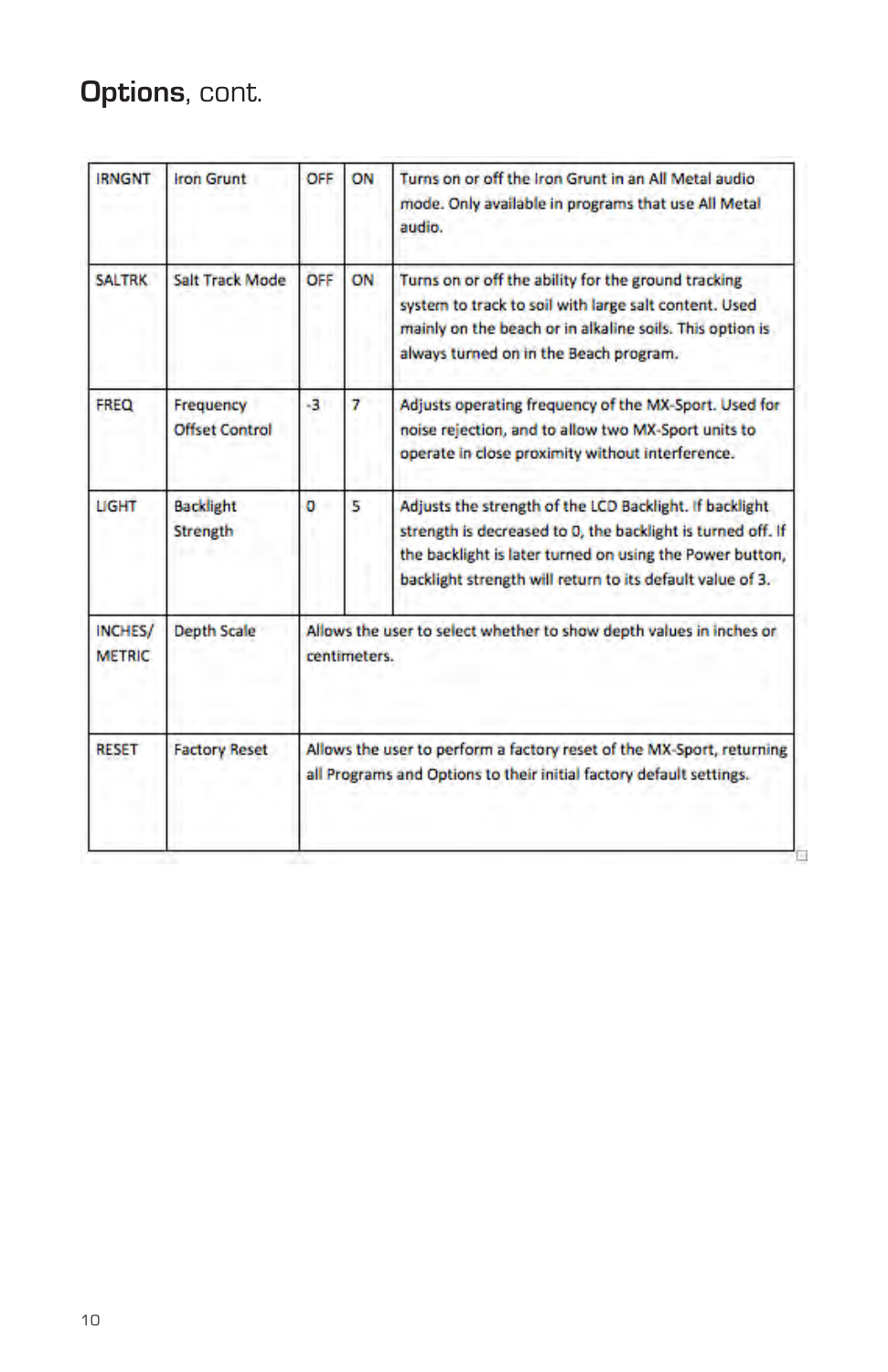# **Options**, cont.

| <b>IRNGNT</b>                   | <b>Iron Grunt</b>                  | OFF                                                                                                                                          | ON | Turns on or off the Iron Grunt in an All Metal audio<br>mode. Only available in programs that use All Metal<br>audio.                                                                                                                           |
|---------------------------------|------------------------------------|----------------------------------------------------------------------------------------------------------------------------------------------|----|-------------------------------------------------------------------------------------------------------------------------------------------------------------------------------------------------------------------------------------------------|
| <b>SALTRK</b>                   | Salt Track Mode                    | OFF                                                                                                                                          | ON | Turns on or off the ability for the ground tracking<br>system to track to soil with large salt content. Used<br>mainly on the beach or in alkaline soils. This option is<br>always turned on in the Beach program.                              |
| FREQ                            | Frequency<br><b>Offset Control</b> | $-3$                                                                                                                                         | 7  | Adjusts operating frequency of the MX-Sport. Used for<br>noise rejection, and to allow two MX-Sport units to<br>operate in close proximity without interference.                                                                                |
| LIGHT                           | <b>Backlight</b><br>Strength       | o                                                                                                                                            | 5  | Adjusts the strength of the LCD Backlight. If backlight<br>strength is decreased to 0, the backlight is turned off. If<br>the backlight is later turned on using the Power button,<br>backlight strength will return to its default value of 3. |
| <b>INCHES/</b><br><b>METRIC</b> | <b>Depth Scale</b>                 | Allows the user to select whether to show depth values in inches or<br>centimeters.                                                          |    |                                                                                                                                                                                                                                                 |
| <b>RESET</b>                    | <b>Factory Reset</b>               | Allows the user to perform a factory reset of the MX-Sport, returning<br>all Programs and Options to their initial factory default settings. |    |                                                                                                                                                                                                                                                 |
|                                 |                                    |                                                                                                                                              |    |                                                                                                                                                                                                                                                 |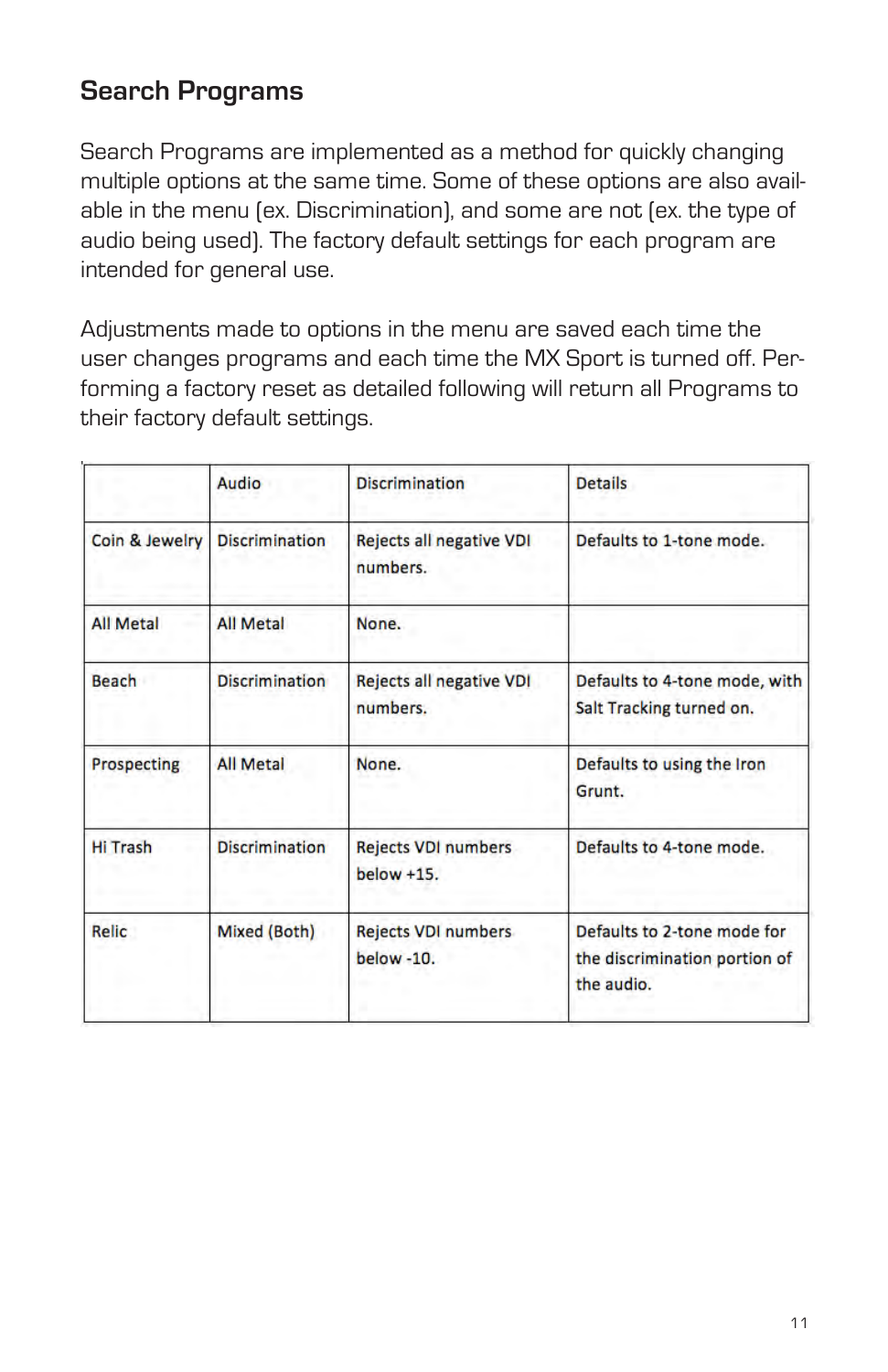## **Search Programs**

Search Programs are implemented as a method for quickly changing multiple options at the same time. Some of these options are also available in the menu (ex. Discrimination), and some are not (ex. the type of audio being used). The factory default settings for each program are intended for general use.

Adjustments made to options in the menu are saved each time the user changes programs and each time the MX Sport is turned off. Performing a factory reset as detailed following will return all Programs to their factory default settings.

|                  | Audio                 | <b>Discrimination</b>                                                                             | <b>Details</b>                                                             |
|------------------|-----------------------|---------------------------------------------------------------------------------------------------|----------------------------------------------------------------------------|
| Coin & Jewelry   | <b>Discrimination</b> | Rejects all negative VDI<br>numbers.                                                              | Defaults to 1-tone mode.                                                   |
| <b>All Metal</b> | <b>All Metal</b>      | None.                                                                                             |                                                                            |
| Beach            | <b>Discrimination</b> | Rejects all negative VDI<br>Defaults to 4-tone mode, with<br>numbers.<br>Salt Tracking turned on. |                                                                            |
| Prospecting      | <b>All Metal</b>      | None.                                                                                             | Defaults to using the Iron<br>Grunt.                                       |
| <b>Hi Trash</b>  | <b>Discrimination</b> | <b>Rejects VDI numbers</b><br>$below +15.$                                                        | Defaults to 4-tone mode.                                                   |
| Relic            | Mixed (Both)          | <b>Rejects VDI numbers</b><br>below -10.                                                          | Defaults to 2-tone mode for<br>the discrimination portion of<br>the audio. |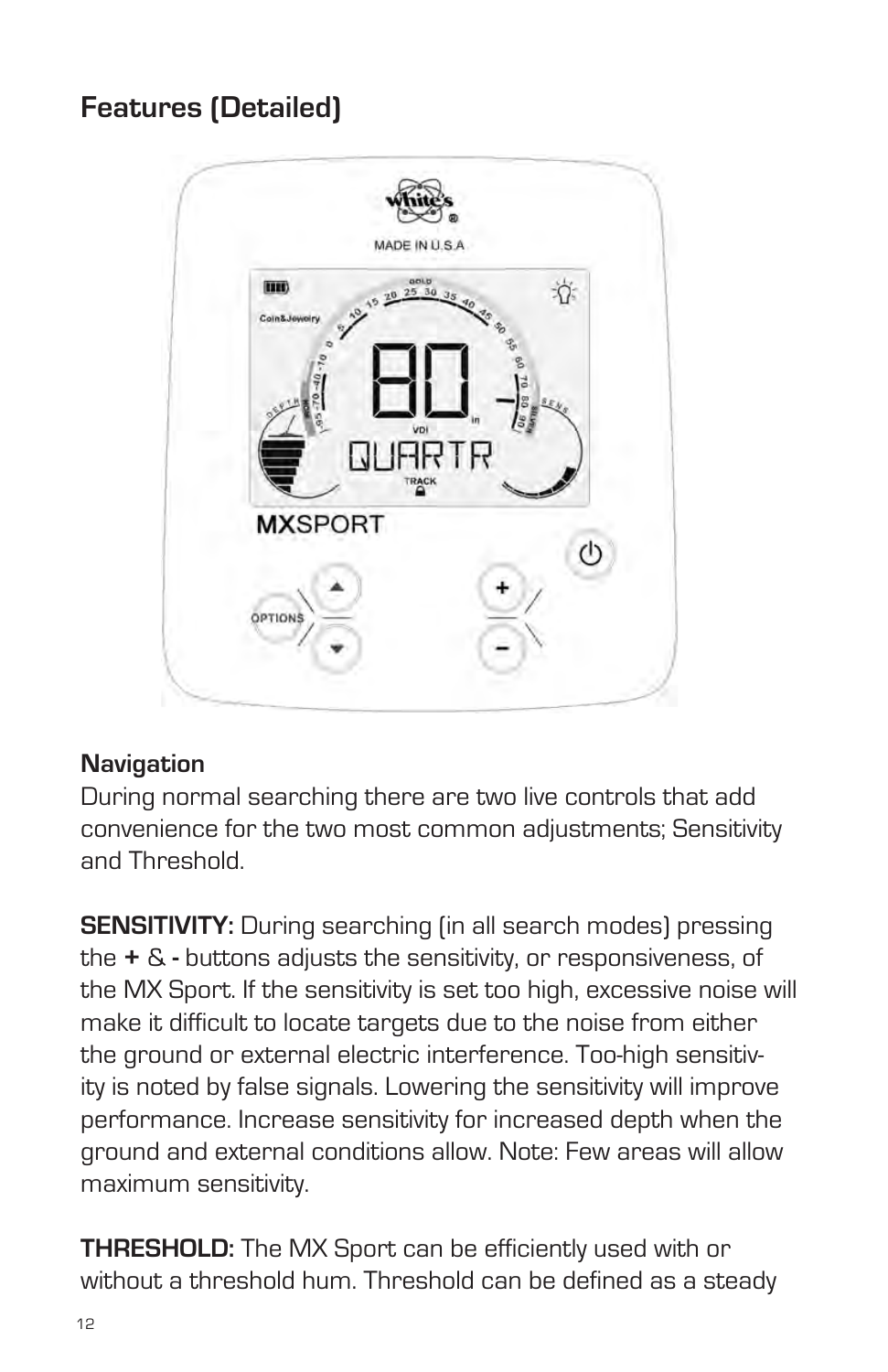# **Features (Detailed)**



#### **Navigation**

During normal searching there are two live controls that add convenience for the two most common adjustments; Sensitivity and Threshold.

**SENSITIVITY:** During searching (in all search modes) pressing the **+** & **-** buttons adjusts the sensitivity, or responsiveness, of the MX Sport. If the sensitivity is set too high, excessive noise will make it difficult to locate targets due to the noise from either the ground or external electric interference. Too-high sensitivity is noted by false signals. Lowering the sensitivity will improve performance. Increase sensitivity for increased depth when the ground and external conditions allow. Note: Few areas will allow maximum sensitivity.

**THRESHOLD:** The MX Sport can be efficiently used with or without a threshold hum. Threshold can be defined as a steady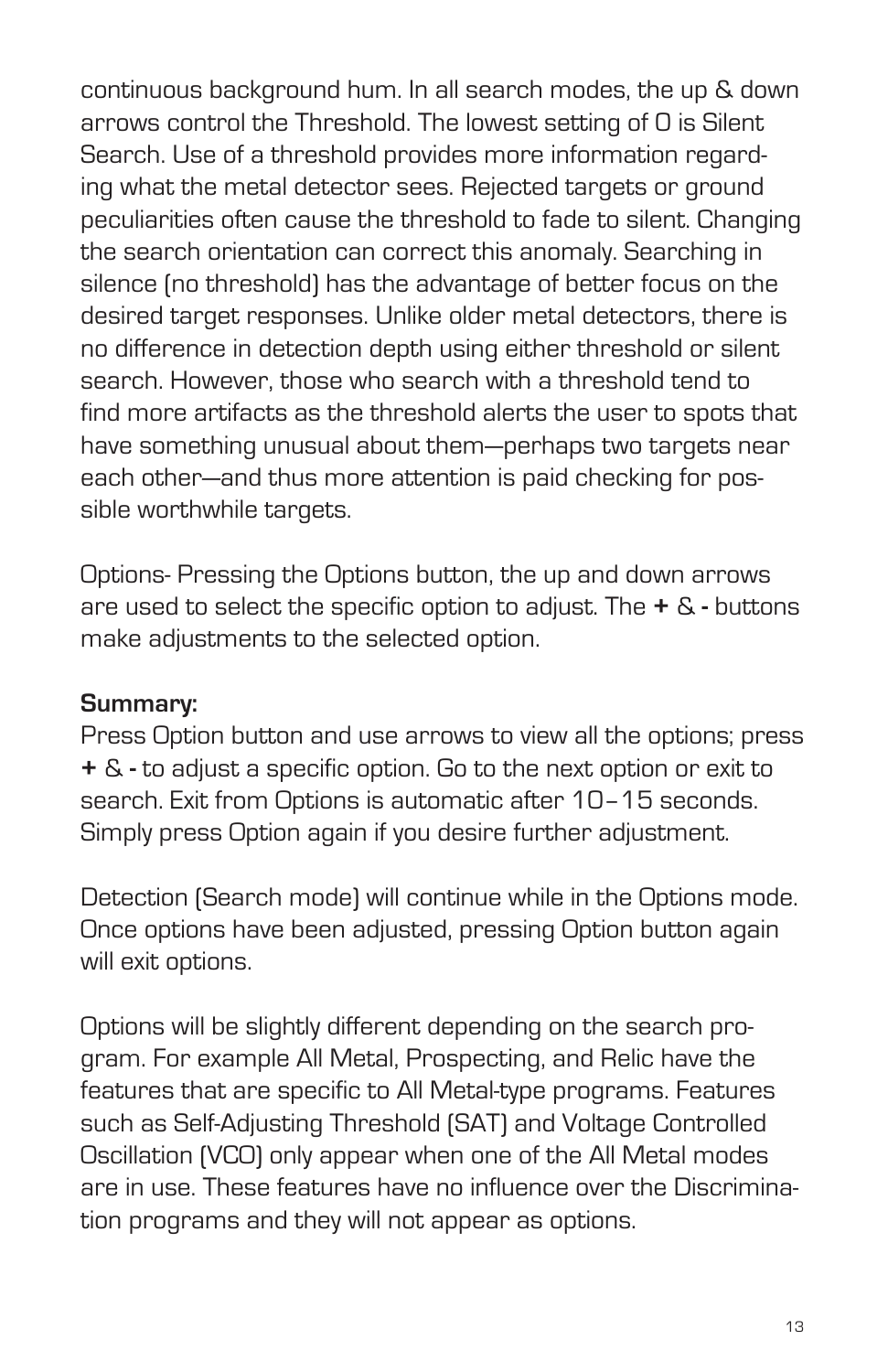continuous background hum. In all search modes, the up & down arrows control the Threshold. The lowest setting of 0 is Silent Search. Use of a threshold provides more information regarding what the metal detector sees. Rejected targets or ground peculiarities often cause the threshold to fade to silent. Changing the search orientation can correct this anomaly. Searching in silence (no threshold) has the advantage of better focus on the desired target responses. Unlike older metal detectors, there is no difference in detection depth using either threshold or silent search. However, those who search with a threshold tend to find more artifacts as the threshold alerts the user to spots that have something unusual about them—perhaps two targets near each other—and thus more attention is paid checking for possible worthwhile targets.

Options- Pressing the Options button, the up and down arrows are used to select the specific option to adjust. The **+** & **-** buttons make adjustments to the selected option.

#### **Summary:**

Press Option button and use arrows to view all the options; press **+** & **-** to adjust a specific option. Go to the next option or exit to search. Exit from Options is automatic after 10–15 seconds. Simply press Option again if you desire further adjustment.

Detection (Search mode) will continue while in the Options mode. Once options have been adjusted, pressing Option button again will exit options.

Options will be slightly different depending on the search program. For example All Metal, Prospecting, and Relic have the features that are specific to All Metal-type programs. Features such as Self-Adjusting Threshold (SAT) and Voltage Controlled Oscillation (VCO) only appear when one of the All Metal modes are in use. These features have no influence over the Discrimination programs and they will not appear as options.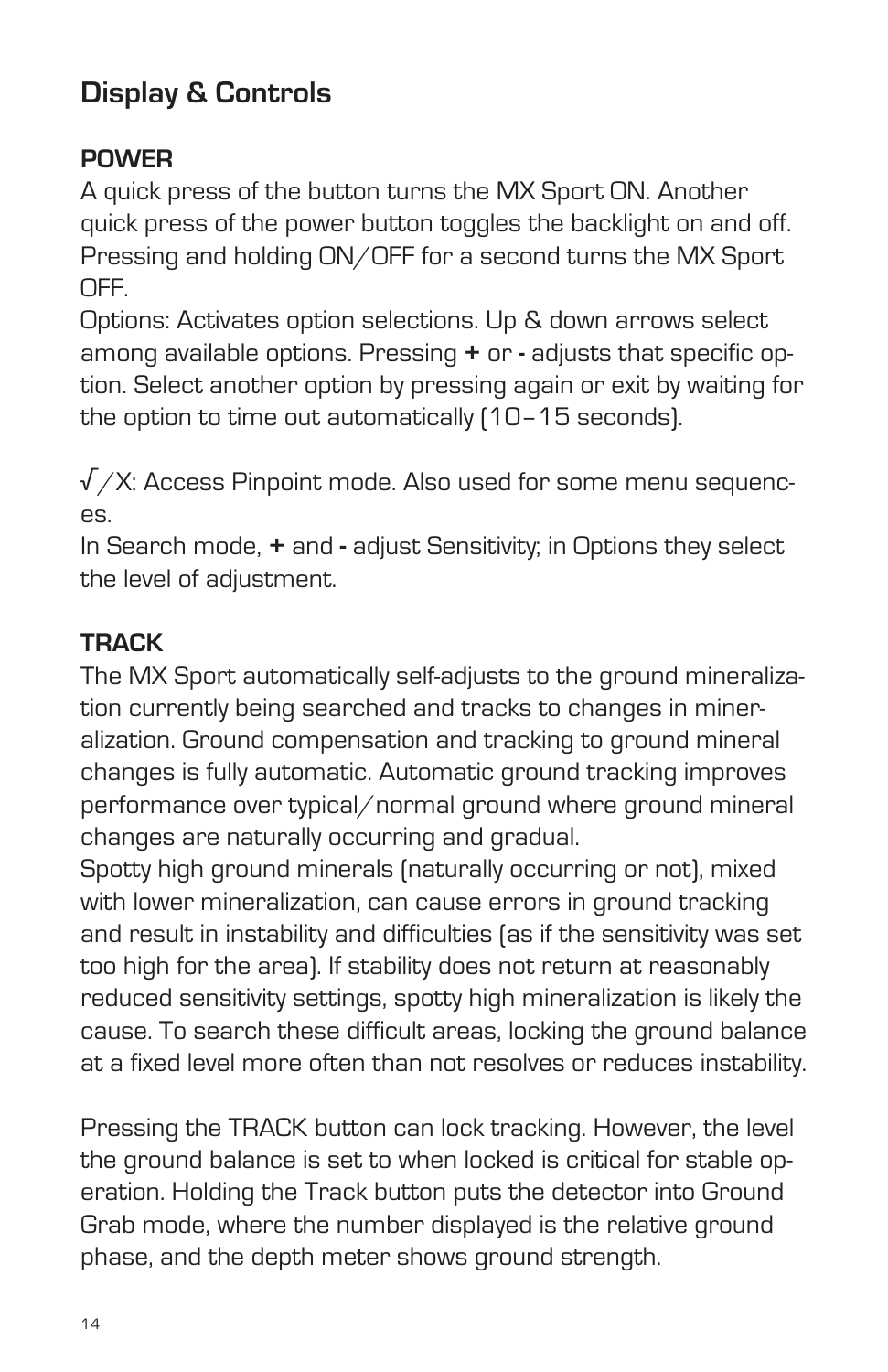# **Display & Controls**

## **POWER**

A quick press of the button turns the MX Sport ON. Another quick press of the power button toggles the backlight on and off. Pressing and holding ON/OFF for a second turns the MX Sport OFF.

Options: Activates option selections. Up & down arrows select among available options. Pressing **+** or **-** adjusts that specific option. Select another option by pressing again or exit by waiting for the option to time out automatically (10–15 seconds).

 $\sqrt{X}$ : Access Pinpoint mode. Also used for some menu sequences.

In Search mode, **+** and **-** adjust Sensitivity; in Options they select the level of adjustment.

## **TRACK**

The MX Sport automatically self-adjusts to the ground mineralization currently being searched and tracks to changes in mineralization. Ground compensation and tracking to ground mineral changes is fully automatic. Automatic ground tracking improves performance over typical/normal ground where ground mineral changes are naturally occurring and gradual.

Spotty high ground minerals (naturally occurring or not), mixed with lower mineralization, can cause errors in ground tracking and result in instability and difficulties (as if the sensitivity was set too high for the area). If stability does not return at reasonably reduced sensitivity settings, spotty high mineralization is likely the cause. To search these difficult areas, locking the ground balance at a fixed level more often than not resolves or reduces instability.

Pressing the TRACK button can lock tracking. However, the level the ground balance is set to when locked is critical for stable operation. Holding the Track button puts the detector into Ground Grab mode, where the number displayed is the relative ground phase, and the depth meter shows ground strength.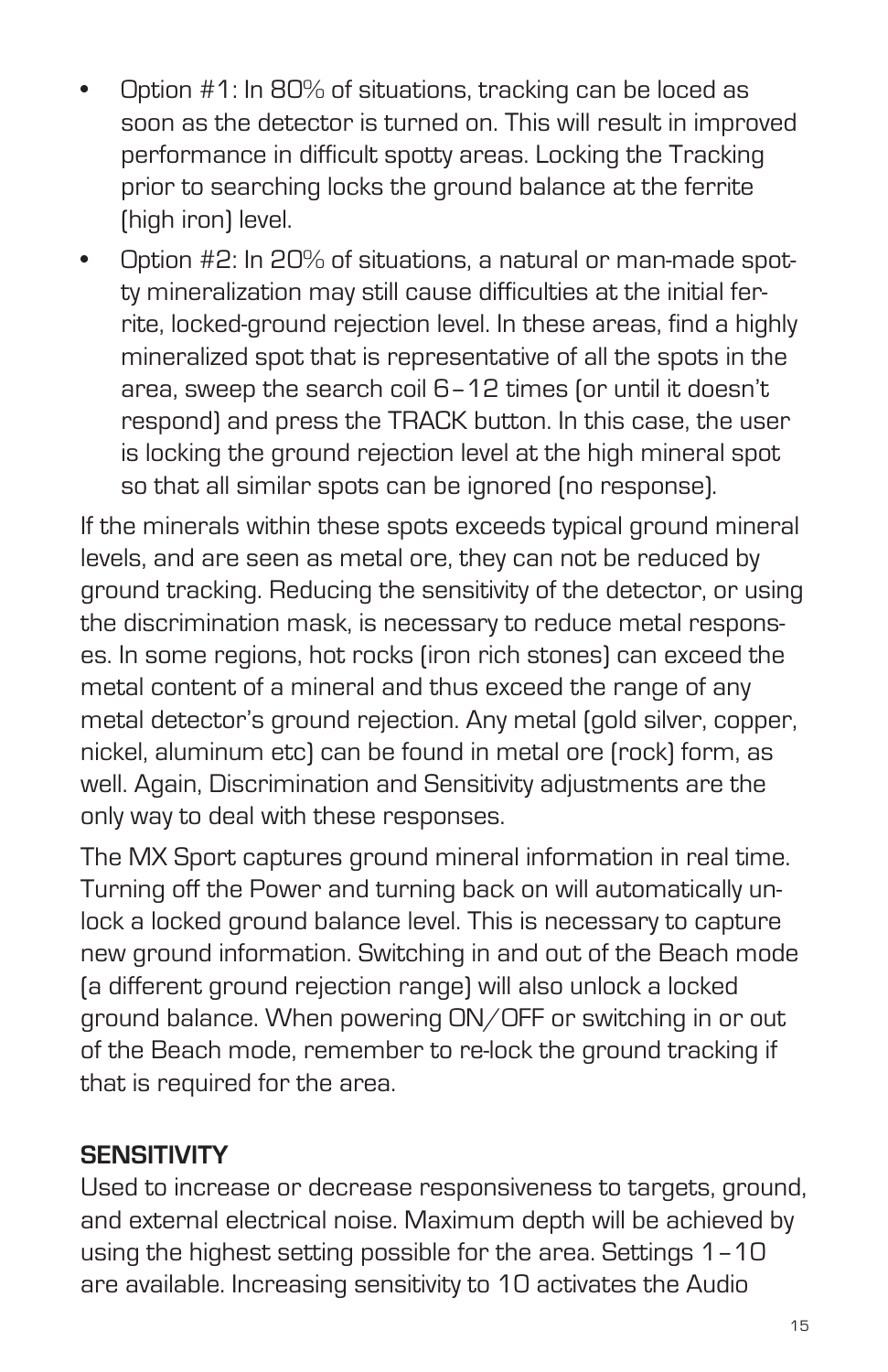- Option  $#1$ : In 80% of situations, tracking can be loced as soon as the detector is turned on. This will result in improved performance in difficult spotty areas. Locking the Tracking prior to searching locks the ground balance at the ferrite (high iron) level.
- Option #2: In 20% of situations, a natural or man-made spotty mineralization may still cause difficulties at the initial ferrite, locked-ground rejection level. In these areas, find a highly mineralized spot that is representative of all the spots in the area, sweep the search coil 6–12 times (or until it doesn't respond) and press the TRACK button. In this case, the user is locking the ground rejection level at the high mineral spot so that all similar spots can be ignored (no response).

If the minerals within these spots exceeds typical ground mineral levels, and are seen as metal ore, they can not be reduced by ground tracking. Reducing the sensitivity of the detector, or using the discrimination mask, is necessary to reduce metal responses. In some regions, hot rocks (iron rich stones) can exceed the metal content of a mineral and thus exceed the range of any metal detector's ground rejection. Any metal (gold silver, copper, nickel, aluminum etc) can be found in metal ore (rock) form, as well. Again, Discrimination and Sensitivity adjustments are the only way to deal with these responses.

The MX Sport captures ground mineral information in real time. Turning off the Power and turning back on will automatically unlock a locked ground balance level. This is necessary to capture new ground information. Switching in and out of the Beach mode (a different ground rejection range) will also unlock a locked ground balance. When powering ON/OFF or switching in or out of the Beach mode, remember to re-lock the ground tracking if that is required for the area.

#### **SENSITIVITY**

Used to increase or decrease responsiveness to targets, ground, and external electrical noise. Maximum depth will be achieved by using the highest setting possible for the area. Settings 1–10 are available. Increasing sensitivity to 10 activates the Audio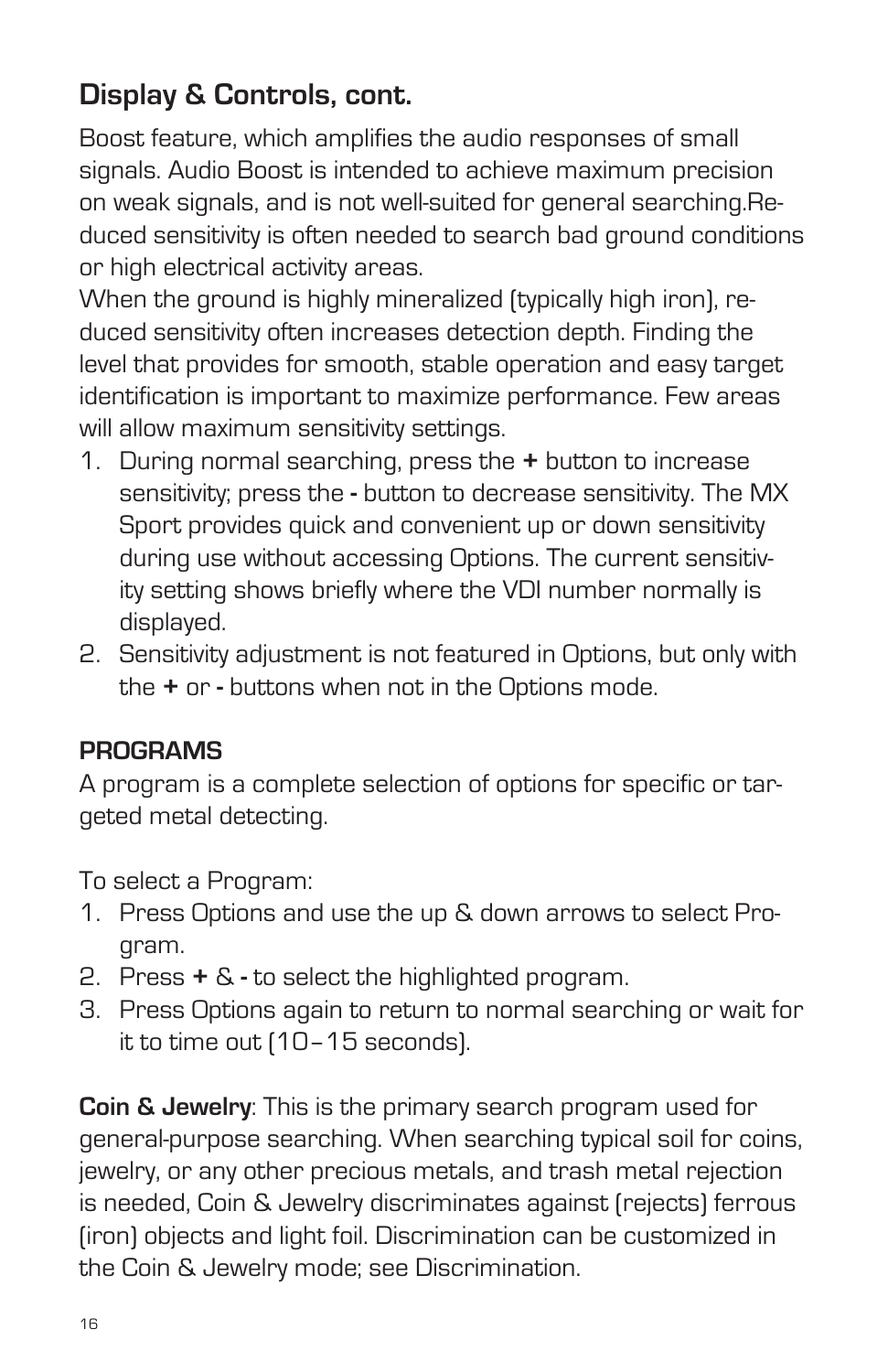# **Display & Controls, cont.**

Boost feature, which amplifies the audio responses of small signals. Audio Boost is intended to achieve maximum precision on weak signals, and is not well-suited for general searching.Reduced sensitivity is often needed to search bad ground conditions or high electrical activity areas.

When the ground is highly mineralized (typically high iron), reduced sensitivity often increases detection depth. Finding the level that provides for smooth, stable operation and easy target identification is important to maximize performance. Few areas will allow maximum sensitivity settings.

- 1. During normal searching, press the **+** button to increase sensitivity; press the **-** button to decrease sensitivity. The MX Sport provides quick and convenient up or down sensitivity during use without accessing Options. The current sensitivity setting shows briefly where the VDI number normally is displayed.
- 2. Sensitivity adjustment is not featured in Options, but only with the **+** or **-** buttons when not in the Options mode.

#### **PROGRAMS**

A program is a complete selection of options for specific or targeted metal detecting.

To select a Program:

- 1. Press Options and use the up & down arrows to select Program.
- 2. Press **+** & **-** to select the highlighted program.
- 3. Press Options again to return to normal searching or wait for it to time out (10–15 seconds).

**Coin & Jewelry**: This is the primary search program used for general-purpose searching. When searching typical soil for coins, jewelry, or any other precious metals, and trash metal rejection is needed, Coin & Jewelry discriminates against (rejects) ferrous (iron) objects and light foil. Discrimination can be customized in the Coin & Jewelry mode; see Discrimination.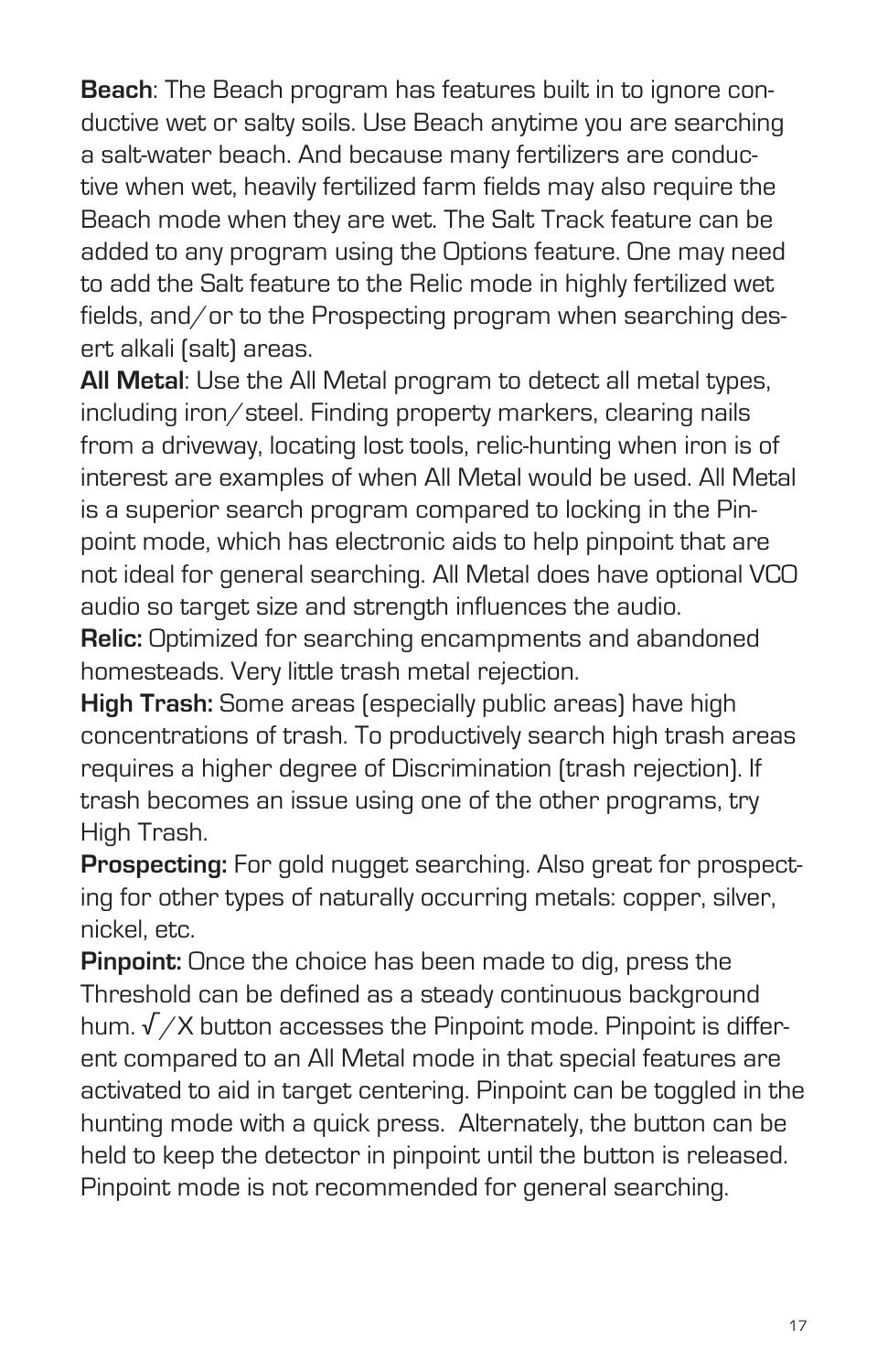**Beach**: The Beach program has features built in to ignore conductive wet or salty soils. Use Beach anytime you are searching a salt-water beach. And because many fertilizers are conductive when wet, heavily fertilized farm fields may also require the Beach mode when they are wet. The Salt Track feature can be added to any program using the Options feature. One may need to add the Salt feature to the Relic mode in highly fertilized wet fields, and/or to the Prospecting program when searching desert alkali (salt) areas.

**All Metal**: Use the All Metal program to detect all metal types, including iron/steel. Finding property markers, clearing nails from a driveway, locating lost tools, relic-hunting when iron is of interest are examples of when All Metal would be used. All Metal is a superior search program compared to locking in the Pinpoint mode, which has electronic aids to help pinpoint that are not ideal for general searching. All Metal does have optional VCO audio so target size and strength influences the audio.

**Relic:** Optimized for searching encampments and abandoned homesteads. Very little trash metal rejection.

**High Trash:** Some areas (especially public areas) have high concentrations of trash. To productively search high trash areas requires a higher degree of Discrimination (trash rejection). If trash becomes an issue using one of the other programs, try High Trash.

**Prospecting:** For gold nugget searching. Also great for prospecting for other types of naturally occurring metals: copper, silver, nickel, etc.

**Pinpoint:** Once the choice has been made to dig, press the Threshold can be defined as a steady continuous background hum.  $\sqrt{2}$  button accesses the Pinpoint mode. Pinpoint is different compared to an All Metal mode in that special features are activated to aid in target centering. Pinpoint can be toggled in the hunting mode with a quick press. Alternately, the button can be held to keep the detector in pinpoint until the button is released. Pinpoint mode is not recommended for general searching.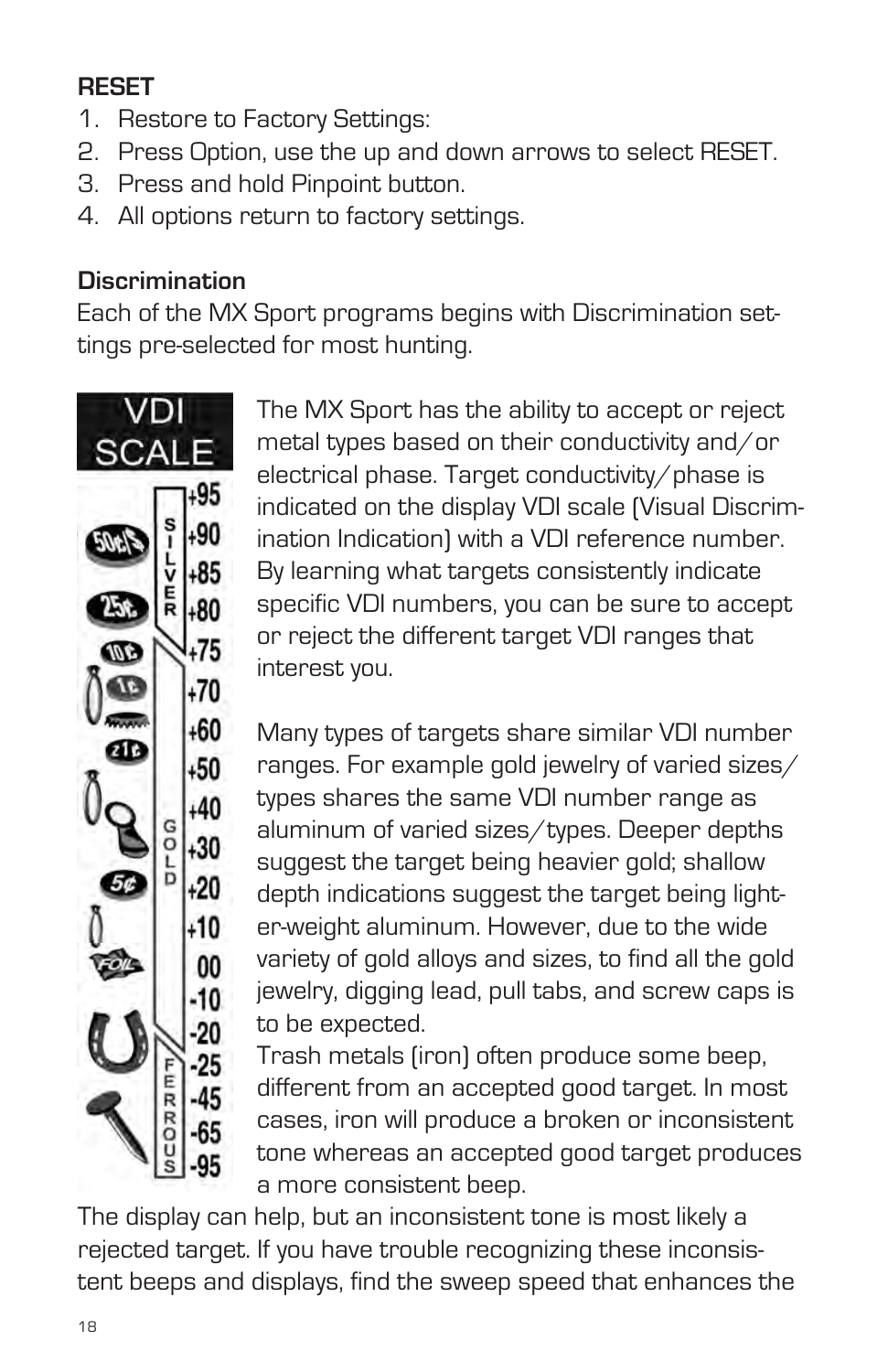## **RESET**

- 1. Restore to Factory Settings:
- 2. Press Option, use the up and down arrows to select RESET.
- 3. Press and hold Pinpoint button.
- 4. All options return to factory settings.

## **Discrimination**

Each of the MX Sport programs begins with Discrimination settings pre-selected for most hunting.



The MX Sport has the ability to accept or reject metal types based on their conductivity and/or electrical phase. Target conductivity/phase is indicated on the display VDI scale (Visual Discrimination Indication) with a VDI reference number. By learning what targets consistently indicate specific VDI numbers, you can be sure to accept or reject the different target VDI ranges that interest you.

Many types of targets share similar VDI number ranges. For example gold jewelry of varied sizes/ types shares the same VDI number range as aluminum of varied sizes/types. Deeper depths suggest the target being heavier gold; shallow depth indications suggest the target being lighter-weight aluminum. However, due to the wide variety of gold alloys and sizes, to find all the gold jewelry, digging lead, pull tabs, and screw caps is to be expected.

Trash metals (iron) often produce some beep, different from an accepted good target. In most cases, iron will produce a broken or inconsistent tone whereas an accepted good target produces a more consistent beep.

The display can help, but an inconsistent tone is most likely a rejected target. If you have trouble recognizing these inconsistent beeps and displays, find the sweep speed that enhances the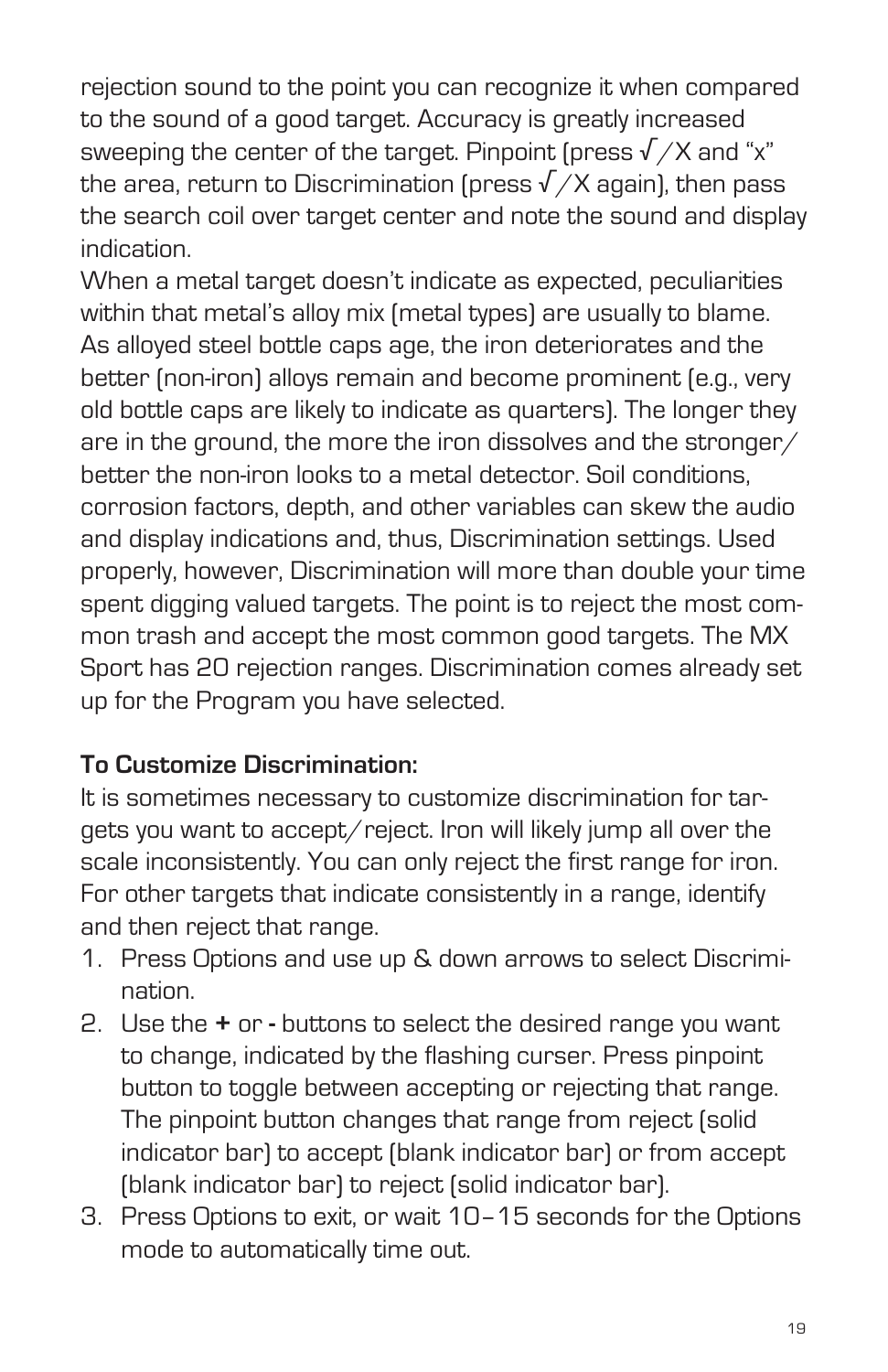rejection sound to the point you can recognize it when compared to the sound of a good target. Accuracy is greatly increased sweeping the center of the target. Pinpoint (press  $\sqrt{X}$  and "x" the area, return to Discrimination (press  $\sqrt{X}$  again), then pass the search coil over target center and note the sound and display indication.

When a metal target doesn't indicate as expected, peculiarities within that metal's alloy mix (metal types) are usually to blame. As alloyed steel bottle caps age, the iron deteriorates and the better (non-iron) alloys remain and become prominent (e.g., very old bottle caps are likely to indicate as quarters). The longer they are in the ground, the more the iron dissolves and the stronger/ better the non-iron looks to a metal detector. Soil conditions, corrosion factors, depth, and other variables can skew the audio and display indications and, thus, Discrimination settings. Used properly, however, Discrimination will more than double your time spent digging valued targets. The point is to reject the most common trash and accept the most common good targets. The MX Sport has 20 rejection ranges. Discrimination comes already set up for the Program you have selected.

#### **To Customize Discrimination:**

It is sometimes necessary to customize discrimination for targets you want to accept/reject. Iron will likely jump all over the scale inconsistently. You can only reject the first range for iron. For other targets that indicate consistently in a range, identify and then reject that range.

- 1. Press Options and use up & down arrows to select Discrimination.
- 2. Use the **+** or buttons to select the desired range you want to change, indicated by the flashing curser. Press pinpoint button to toggle between accepting or rejecting that range. The pinpoint button changes that range from reject (solid indicator bar) to accept (blank indicator bar) or from accept (blank indicator bar) to reject (solid indicator bar).
- 3. Press Options to exit, or wait 10–15 seconds for the Options mode to automatically time out.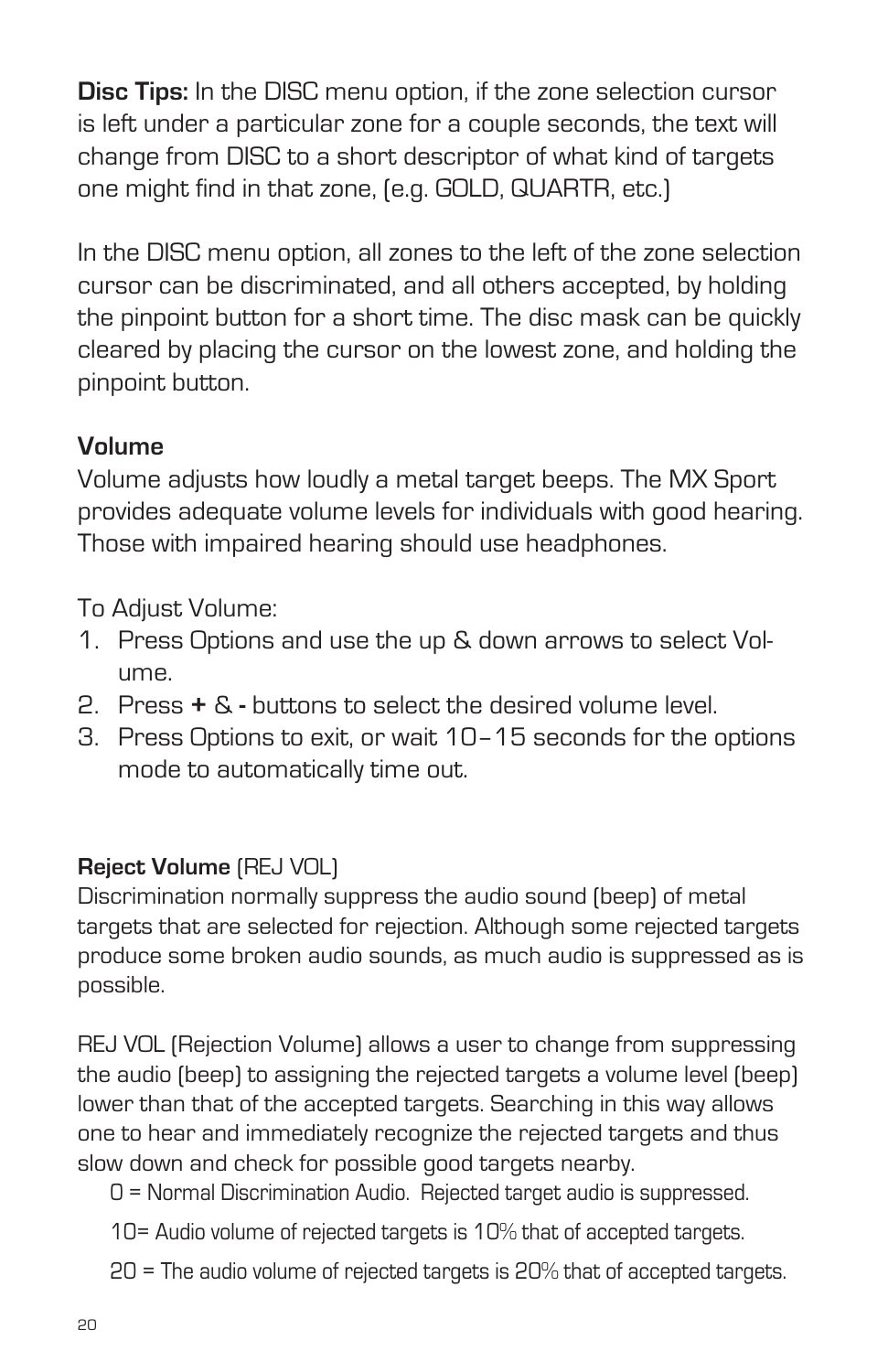**Disc Tips:** In the DISC menu option, if the zone selection cursor is left under a particular zone for a couple seconds, the text will change from DISC to a short descriptor of what kind of targets one might find in that zone, (e.g. GOLD, QUARTR, etc.)

In the DISC menu option, all zones to the left of the zone selection cursor can be discriminated, and all others accepted, by holding the pinpoint button for a short time. The disc mask can be quickly cleared by placing the cursor on the lowest zone, and holding the pinpoint button.

#### **Volume**

Volume adjusts how loudly a metal target beeps. The MX Sport provides adequate volume levels for individuals with good hearing. Those with impaired hearing should use headphones.

To Adjust Volume:

- 1. Press Options and use the up & down arrows to select Volume.
- 2. Press **+** & buttons to select the desired volume level.
- 3. Press Options to exit, or wait 10–15 seconds for the options mode to automatically time out.

#### **Reject Volume** (REJ VOL)

Discrimination normally suppress the audio sound (beep) of metal targets that are selected for rejection. Although some rejected targets produce some broken audio sounds, as much audio is suppressed as is possible.

REJ VOL (Rejection Volume) allows a user to change from suppressing the audio (beep) to assigning the rejected targets a volume level (beep) lower than that of the accepted targets. Searching in this way allows one to hear and immediately recognize the rejected targets and thus slow down and check for possible good targets nearby.

- 0 = Normal Discrimination Audio. Rejected target audio is suppressed.
- 10= Audio volume of rejected targets is 10% that of accepted targets.
- 20 = The audio volume of rejected targets is 20% that of accepted targets.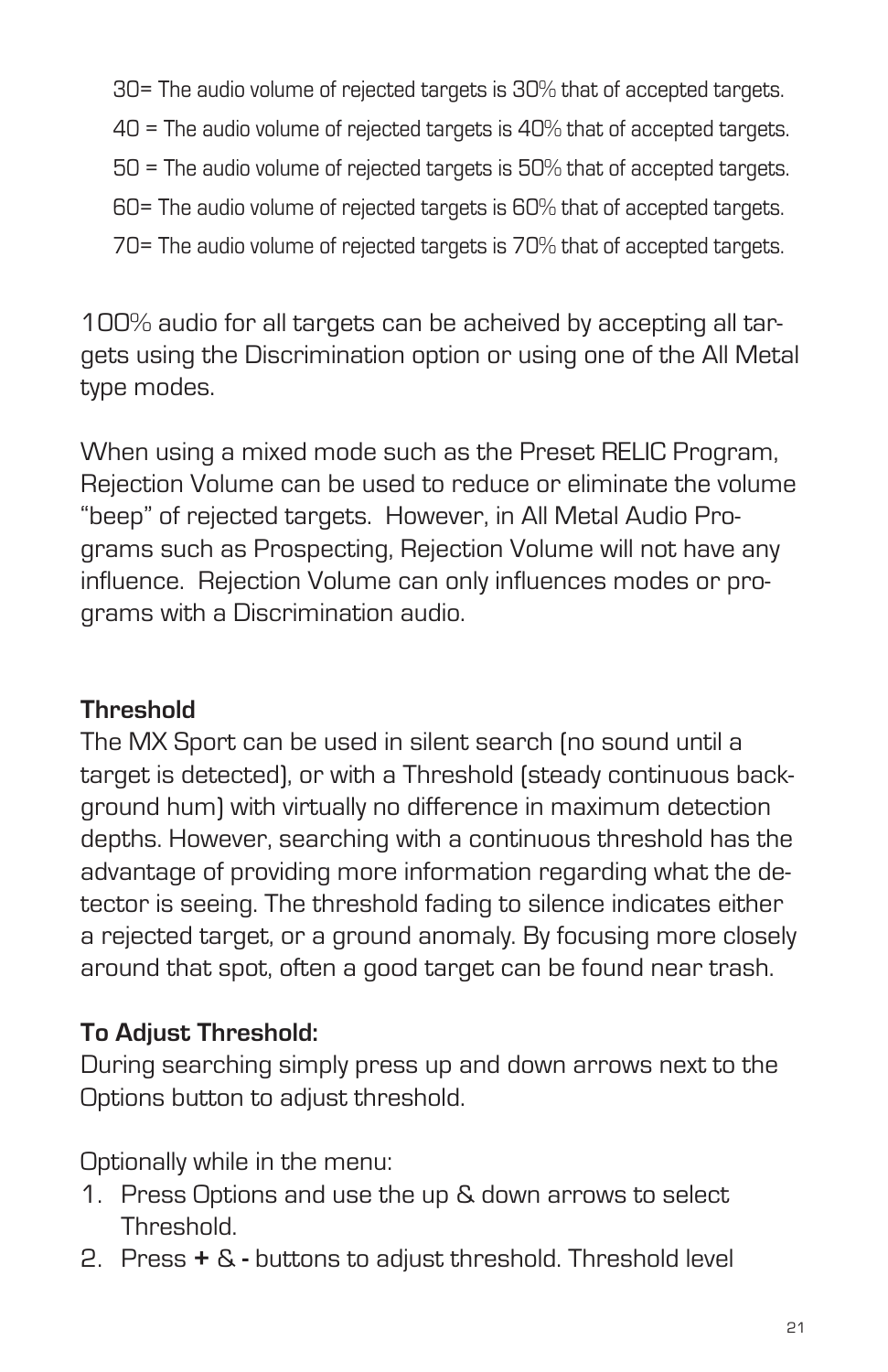- 30= The audio volume of rejected targets is 30% that of accepted targets.
- 40 = The audio volume of rejected targets is 40% that of accepted targets.
- 50 = The audio volume of rejected targets is 50% that of accepted targets.
- 60= The audio volume of rejected targets is 60% that of accepted targets.
- 70= The audio volume of rejected targets is 70% that of accepted targets.

100% audio for all targets can be acheived by accepting all targets using the Discrimination option or using one of the All Metal type modes.

When using a mixed mode such as the Preset RELIC Program, Rejection Volume can be used to reduce or eliminate the volume "beep" of rejected targets. However, in All Metal Audio Programs such as Prospecting, Rejection Volume will not have any influence. Rejection Volume can only influences modes or programs with a Discrimination audio.

#### **Threshold**

The MX Sport can be used in silent search (no sound until a target is detected), or with a Threshold (steady continuous background hum) with virtually no difference in maximum detection depths. However, searching with a continuous threshold has the advantage of providing more information regarding what the detector is seeing. The threshold fading to silence indicates either a rejected target, or a ground anomaly. By focusing more closely around that spot, often a good target can be found near trash.

#### **To Adjust Threshold:**

During searching simply press up and down arrows next to the Options button to adjust threshold.

Optionally while in the menu:

- 1. Press Options and use the up & down arrows to select Threshold.
- 2. Press **+** &buttons to adjust threshold. Threshold level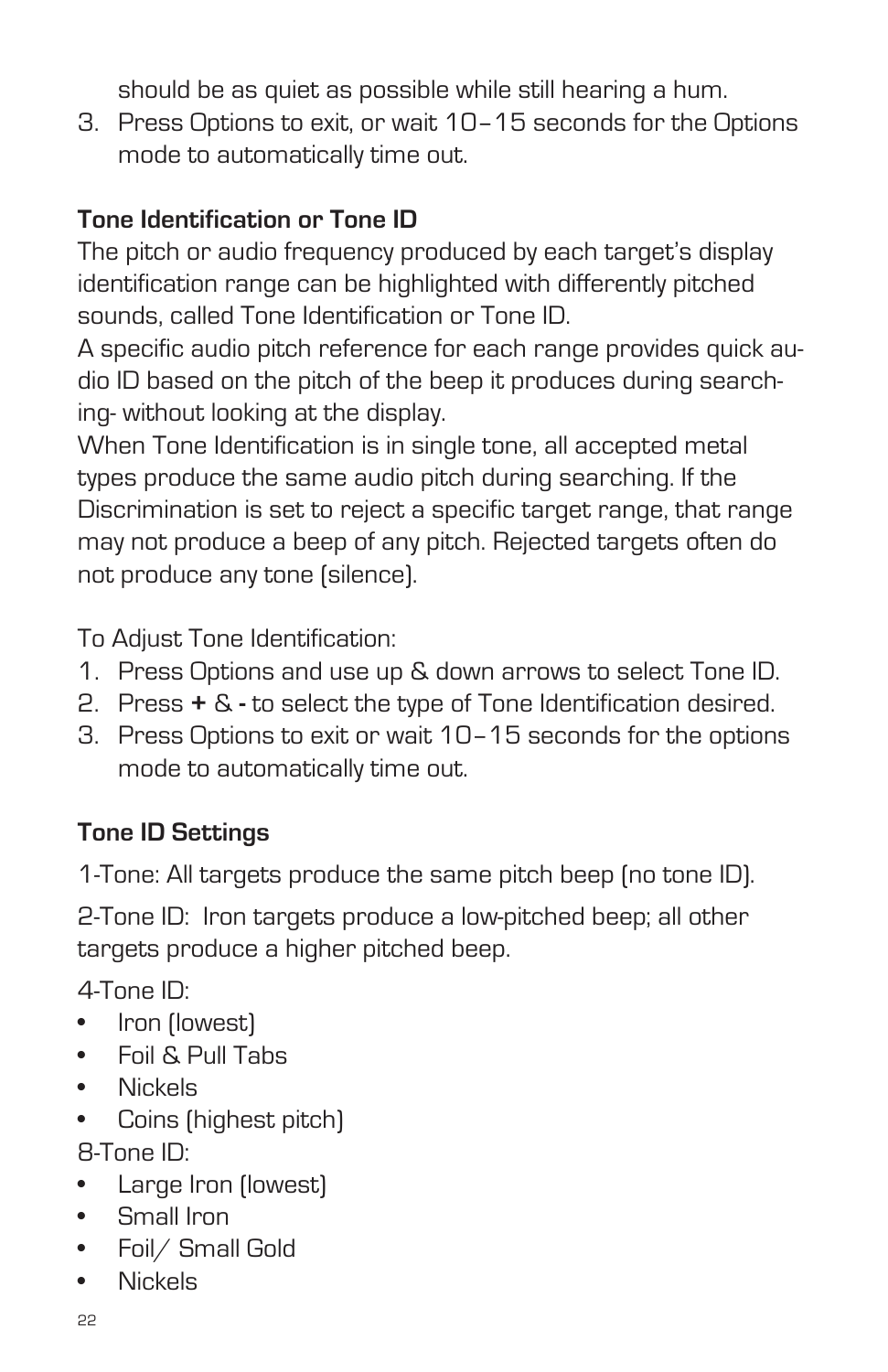should be as quiet as possible while still hearing a hum.

3. Press Options to exit, or wait 10–15 seconds for the Options mode to automatically time out.

## **Tone Identification or Tone ID**

The pitch or audio frequency produced by each target's display identification range can be highlighted with differently pitched sounds, called Tone Identification or Tone ID.

A specific audio pitch reference for each range provides quick audio ID based on the pitch of the beep it produces during searching- without looking at the display.

When Tone Identification is in single tone, all accepted metal types produce the same audio pitch during searching. If the Discrimination is set to reject a specific target range, that range may not produce a beep of any pitch. Rejected targets often do not produce any tone (silence).

To Adjust Tone Identification:

- 1. Press Options and use up & down arrows to select Tone ID.
- 2. Press **+** & to select the type of Tone Identification desired.
- 3. Press Options to exit or wait 10–15 seconds for the options mode to automatically time out.

## **Tone ID Settings**

1-Tone: All targets produce the same pitch beep (no tone ID).

2-Tone ID: Iron targets produce a low-pitched beep; all other targets produce a higher pitched beep.

4-Tone ID:

- Iron (lowest)
- • Foil & Pull Tabs
- • Nickels
- Coins (highest pitch) 8-Tone ID:
- • Large Iron (lowest)
- • Small Iron
- • Foil/ Small Gold
- • Nickels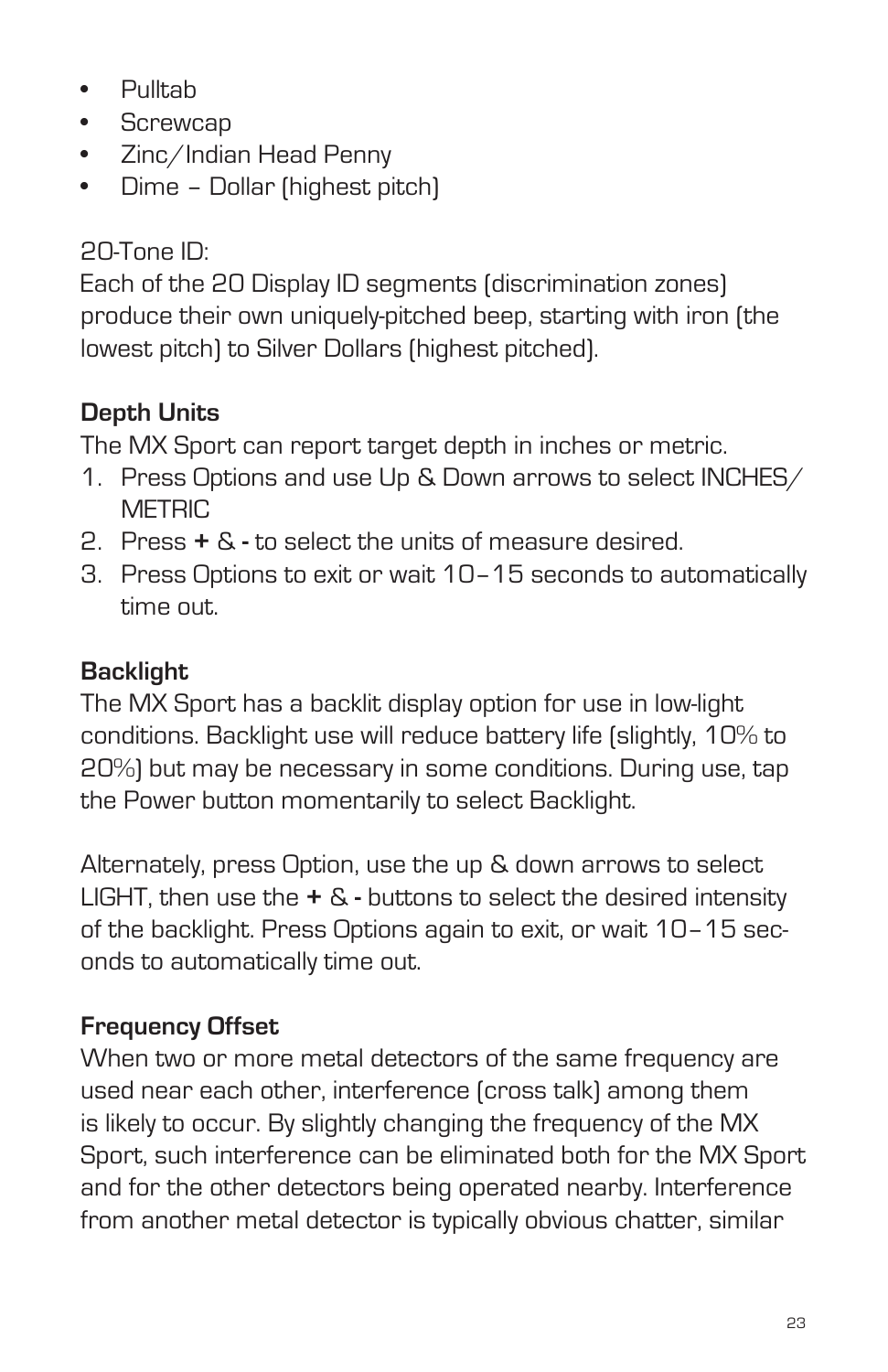- • Pulltab
- Screwcap
- • Zinc/Indian Head Penny
- • Dime Dollar (highest pitch)

# 20-Tone ID:

Each of the 20 Display ID segments (discrimination zones) produce their own uniquely-pitched beep, starting with iron (the lowest pitch) to Silver Dollars (highest pitched).

# **Depth Units**

The MX Sport can report target depth in inches or metric.

- 1. Press Options and use Up & Down arrows to select INCHES/ **METRIC**
- 2. Press **+** & **-** to select the units of measure desired.
- 3. Press Options to exit or wait 10–15 seconds to automatically time out.

# **Backlight**

The MX Sport has a backlit display option for use in low-light conditions. Backlight use will reduce battery life (slightly, 10% to 20%) but may be necessary in some conditions. During use, tap the Power button momentarily to select Backlight.

Alternately, press Option, use the up & down arrows to select LIGHT, then use the **+** & **-** buttons to select the desired intensity of the backlight. Press Options again to exit, or wait 10–15 seconds to automatically time out.

# **Frequency Offset**

When two or more metal detectors of the same frequency are used near each other, interference (cross talk) among them is likely to occur. By slightly changing the frequency of the MX Sport, such interference can be eliminated both for the MX Sport and for the other detectors being operated nearby. Interference from another metal detector is typically obvious chatter, similar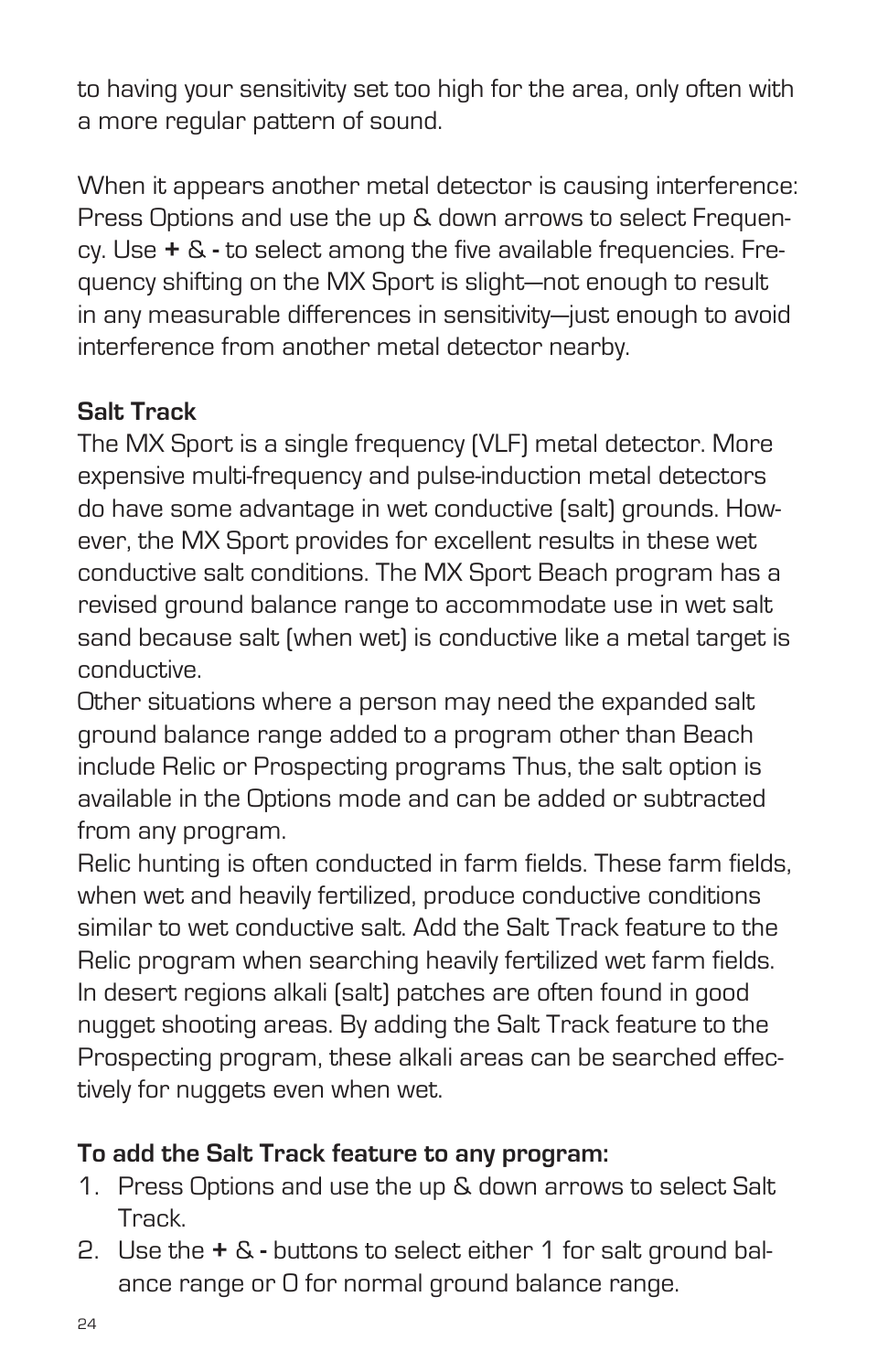to having your sensitivity set too high for the area, only often with a more regular pattern of sound.

When it appears another metal detector is causing interference: Press Options and use the up & down arrows to select Frequency. Use **+** & **-** to select among the five available frequencies. Frequency shifting on the MX Sport is slight—not enough to result in any measurable differences in sensitivity—just enough to avoid interference from another metal detector nearby.

## **Salt Track**

The MX Sport is a single frequency (VLF) metal detector. More expensive multi-frequency and pulse-induction metal detectors do have some advantage in wet conductive (salt) grounds. However, the MX Sport provides for excellent results in these wet conductive salt conditions. The MX Sport Beach program has a revised ground balance range to accommodate use in wet salt sand because salt (when wet) is conductive like a metal target is conductive.

Other situations where a person may need the expanded salt ground balance range added to a program other than Beach include Relic or Prospecting programs Thus, the salt option is available in the Options mode and can be added or subtracted from any program.

Relic hunting is often conducted in farm fields. These farm fields, when wet and heavily fertilized, produce conductive conditions similar to wet conductive salt. Add the Salt Track feature to the Relic program when searching heavily fertilized wet farm fields. In desert regions alkali (salt) patches are often found in good nugget shooting areas. By adding the Salt Track feature to the Prospecting program, these alkali areas can be searched effectively for nuggets even when wet.

#### **To add the Salt Track feature to any program:**

- 1. Press Options and use the up & down arrows to select Salt Track.
- 2. Use the **+** & **-** buttons to select either 1 for salt ground balance range or 0 for normal ground balance range.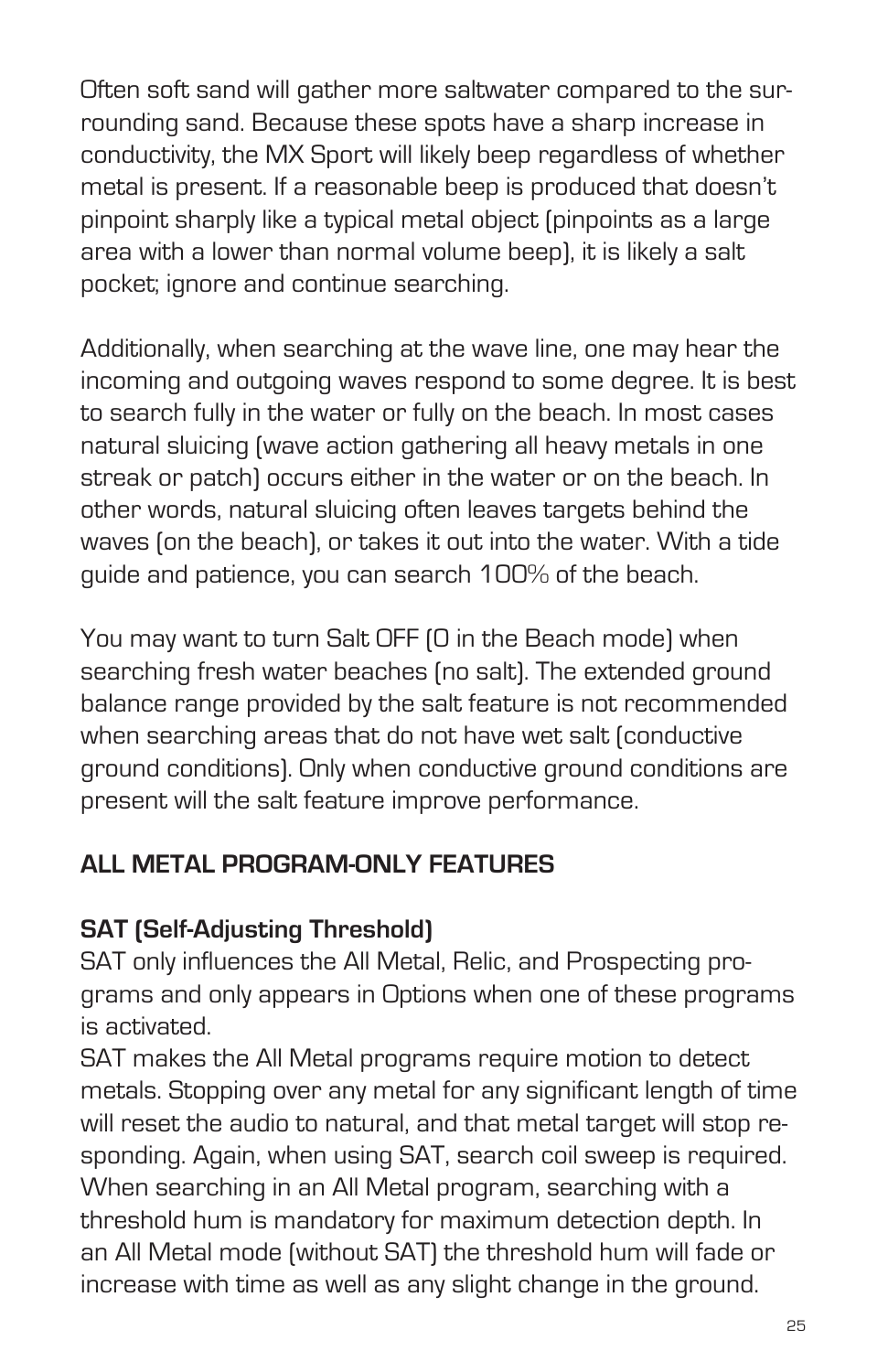Often soft sand will gather more saltwater compared to the surrounding sand. Because these spots have a sharp increase in conductivity, the MX Sport will likely beep regardless of whether metal is present. If a reasonable beep is produced that doesn't pinpoint sharply like a typical metal object (pinpoints as a large area with a lower than normal volume beep), it is likely a salt pocket; ignore and continue searching.

Additionally, when searching at the wave line, one may hear the incoming and outgoing waves respond to some degree. It is best to search fully in the water or fully on the beach. In most cases natural sluicing (wave action gathering all heavy metals in one streak or patch) occurs either in the water or on the beach. In other words, natural sluicing often leaves targets behind the waves (on the beach), or takes it out into the water. With a tide guide and patience, you can search 100% of the beach.

You may want to turn Salt OFF (0 in the Beach mode) when searching fresh water beaches (no salt). The extended ground balance range provided by the salt feature is not recommended when searching areas that do not have wet salt (conductive ground conditions). Only when conductive ground conditions are present will the salt feature improve performance.

## **ALL METAL PROGRAM-ONLY FEATURES**

#### **SAT (Self-Adjusting Threshold)**

SAT only influences the All Metal, Relic, and Prospecting programs and only appears in Options when one of these programs is activated.

SAT makes the All Metal programs require motion to detect metals. Stopping over any metal for any significant length of time will reset the audio to natural, and that metal target will stop responding. Again, when using SAT, search coil sweep is required. When searching in an All Metal program, searching with a threshold hum is mandatory for maximum detection depth. In an All Metal mode (without SAT) the threshold hum will fade or increase with time as well as any slight change in the ground.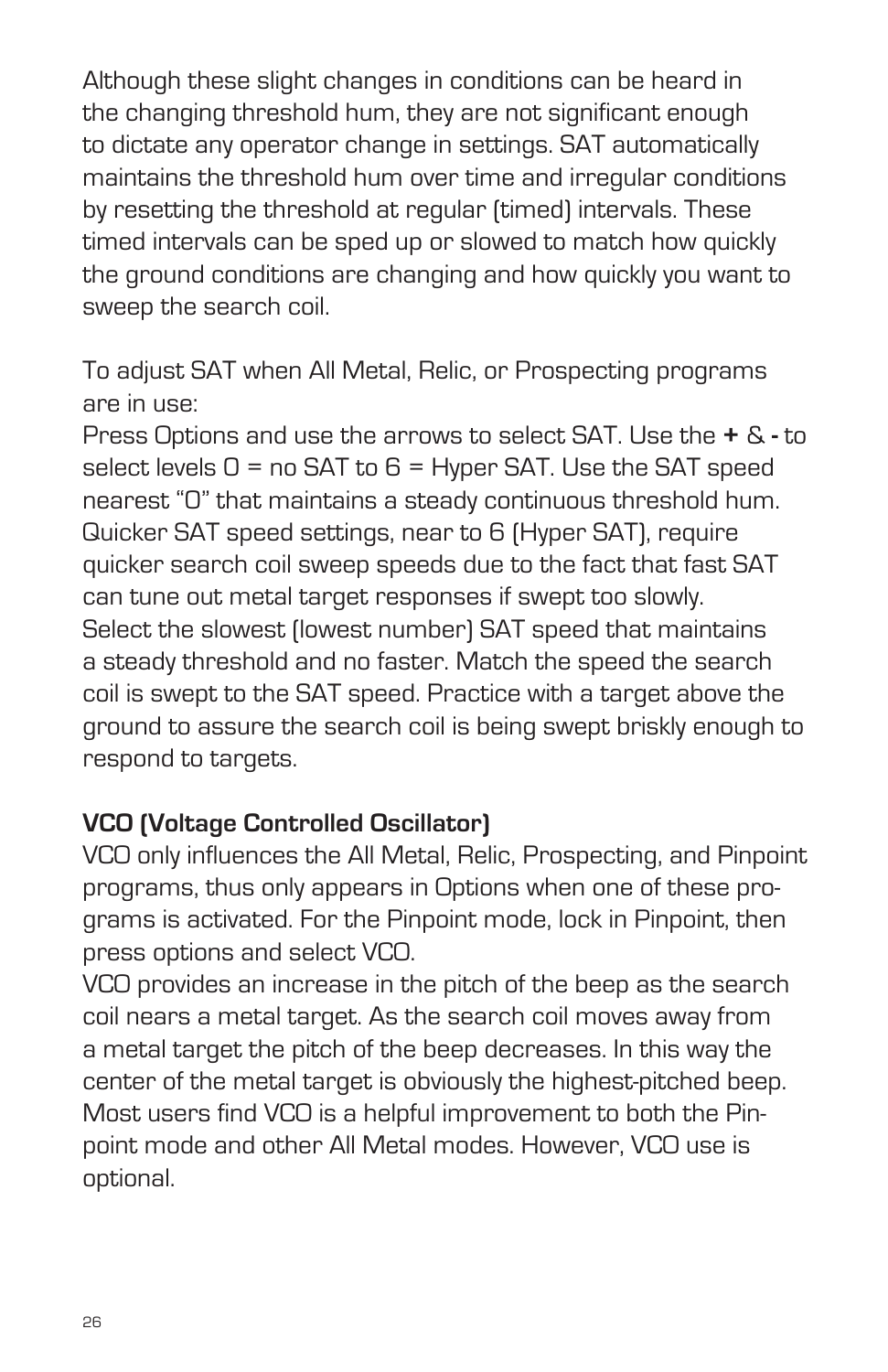Although these slight changes in conditions can be heard in the changing threshold hum, they are not significant enough to dictate any operator change in settings. SAT automatically maintains the threshold hum over time and irregular conditions by resetting the threshold at regular (timed) intervals. These timed intervals can be sped up or slowed to match how quickly the ground conditions are changing and how quickly you want to sweep the search coil.

To adjust SAT when All Metal, Relic, or Prospecting programs are in use:

Press Options and use the arrows to select SAT. Use the **+** & **-** to select levels  $0 =$  no SAT to  $6 =$  Hyper SAT. Use the SAT speed nearest "0" that maintains a steady continuous threshold hum. Quicker SAT speed settings, near to 6 (Hyper SAT), require quicker search coil sweep speeds due to the fact that fast SAT can tune out metal target responses if swept too slowly. Select the slowest (lowest number) SAT speed that maintains a steady threshold and no faster. Match the speed the search coil is swept to the SAT speed. Practice with a target above the ground to assure the search coil is being swept briskly enough to respond to targets.

#### **VCO (Voltage Controlled Oscillator)**

VCO only influences the All Metal, Relic, Prospecting, and Pinpoint programs, thus only appears in Options when one of these programs is activated. For the Pinpoint mode, lock in Pinpoint, then press options and select VCO.

VCO provides an increase in the pitch of the beep as the search coil nears a metal target. As the search coil moves away from a metal target the pitch of the beep decreases. In this way the center of the metal target is obviously the highest-pitched beep. Most users find VCO is a helpful improvement to both the Pinpoint mode and other All Metal modes. However, VCO use is optional.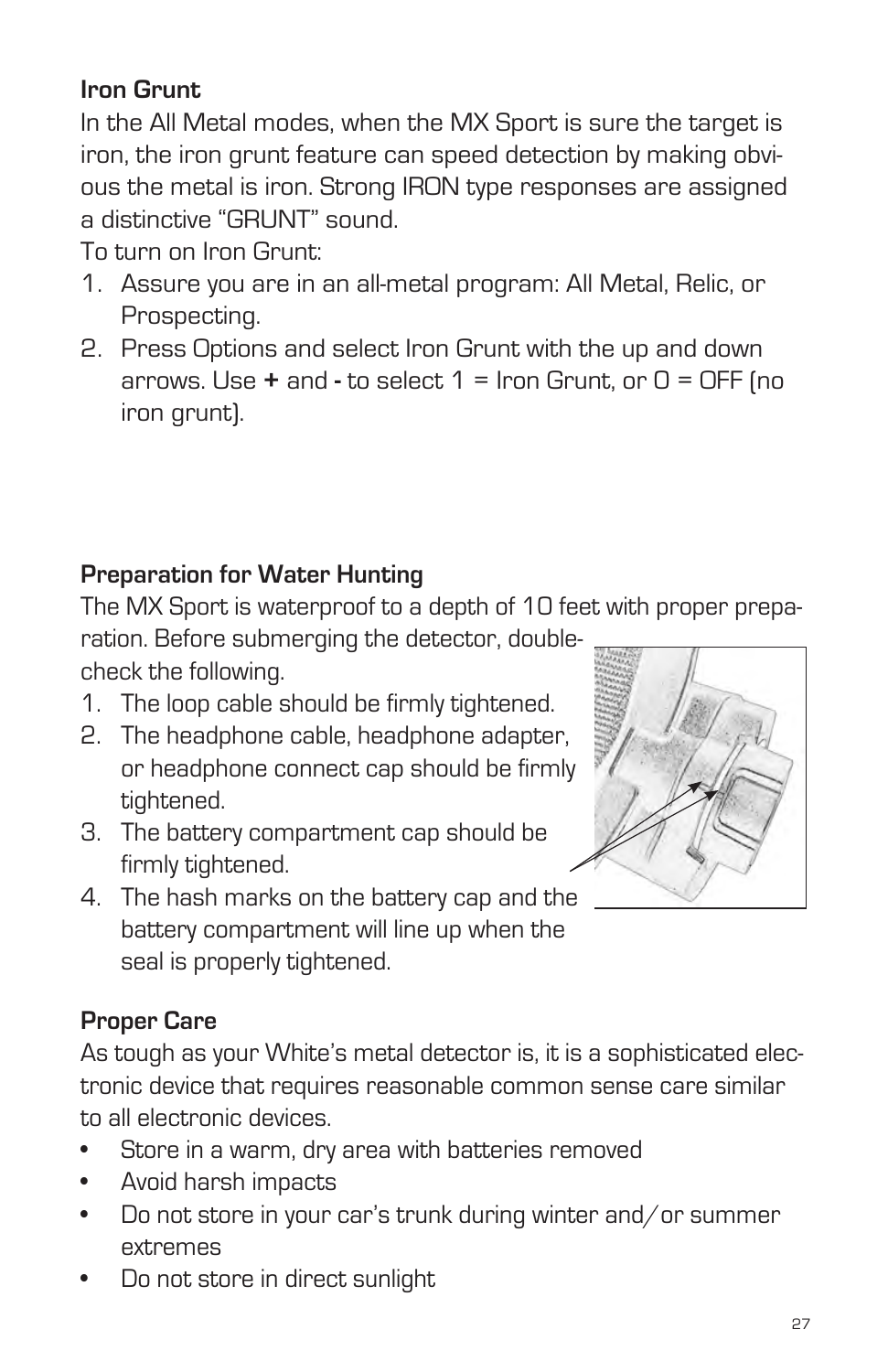### **Iron Grunt**

In the All Metal modes, when the MX Sport is sure the target is iron, the iron grunt feature can speed detection by making obvious the metal is iron. Strong IRON type responses are assigned a distinctive "GRUNT" sound.

To turn on Iron Grunt:

- 1. Assure you are in an all-metal program: All Metal, Relic, or Prospecting.
- 2. Press Options and select Iron Grunt with the up and down arrows. Use **+** and **-** to select 1 = Iron Grunt, or 0 = OFF (no iron grunt).

#### **Preparation for Water Hunting**

The MX Sport is waterproof to a depth of 10 feet with proper prepa-

ration. Before submerging the detector, doublecheck the following.

- 1. The loop cable should be firmly tightened.
- 2. The headphone cable, headphone adapter, or headphone connect cap should be firmly tightened.
- 3. The battery compartment cap should be firmly tightened.
- 4. The hash marks on the battery cap and the battery compartment will line up when the seal is properly tightened.

#### **Proper Care**

As tough as your White's metal detector is, it is a sophisticated electronic device that requires reasonable common sense care similar to all electronic devices.

- Store in a warm, dry area with batteries removed
- • Avoid harsh impacts
- Do not store in your car's trunk during winter and/or summer extremes
- Do not store in direct sunlight

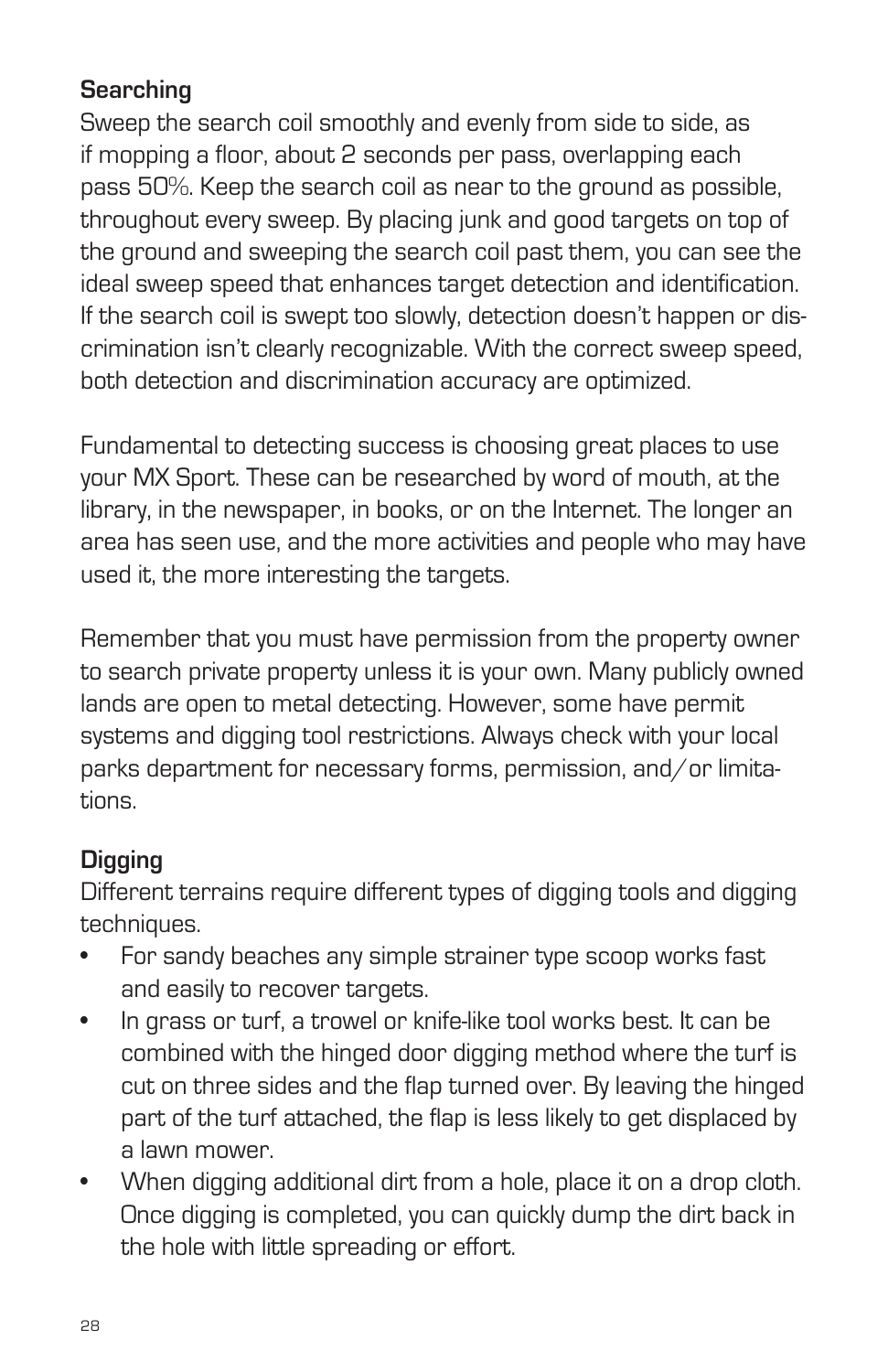## **Searching**

Sweep the search coil smoothly and evenly from side to side, as if mopping a floor, about 2 seconds per pass, overlapping each pass 50%. Keep the search coil as near to the ground as possible, throughout every sweep. By placing junk and good targets on top of the ground and sweeping the search coil past them, you can see the ideal sweep speed that enhances target detection and identification. If the search coil is swept too slowly, detection doesn't happen or discrimination isn't clearly recognizable. With the correct sweep speed, both detection and discrimination accuracy are optimized.

Fundamental to detecting success is choosing great places to use your MX Sport. These can be researched by word of mouth, at the library, in the newspaper, in books, or on the Internet. The longer an area has seen use, and the more activities and people who may have used it, the more interesting the targets.

Remember that you must have permission from the property owner to search private property unless it is your own. Many publicly owned lands are open to metal detecting. However, some have permit systems and digging tool restrictions. Always check with your local parks department for necessary forms, permission, and/or limitations.

#### **Digging**

Different terrains require different types of digging tools and digging techniques.

- For sandy beaches any simple strainer type scoop works fast and easily to recover targets.
- In grass or turf, a trowel or knife-like tool works best. It can be combined with the hinged door digging method where the turf is cut on three sides and the flap turned over. By leaving the hinged part of the turf attached, the flap is less likely to get displaced by a lawn mower.
- When digging additional dirt from a hole, place it on a drop cloth. Once digging is completed, you can quickly dump the dirt back in the hole with little spreading or effort.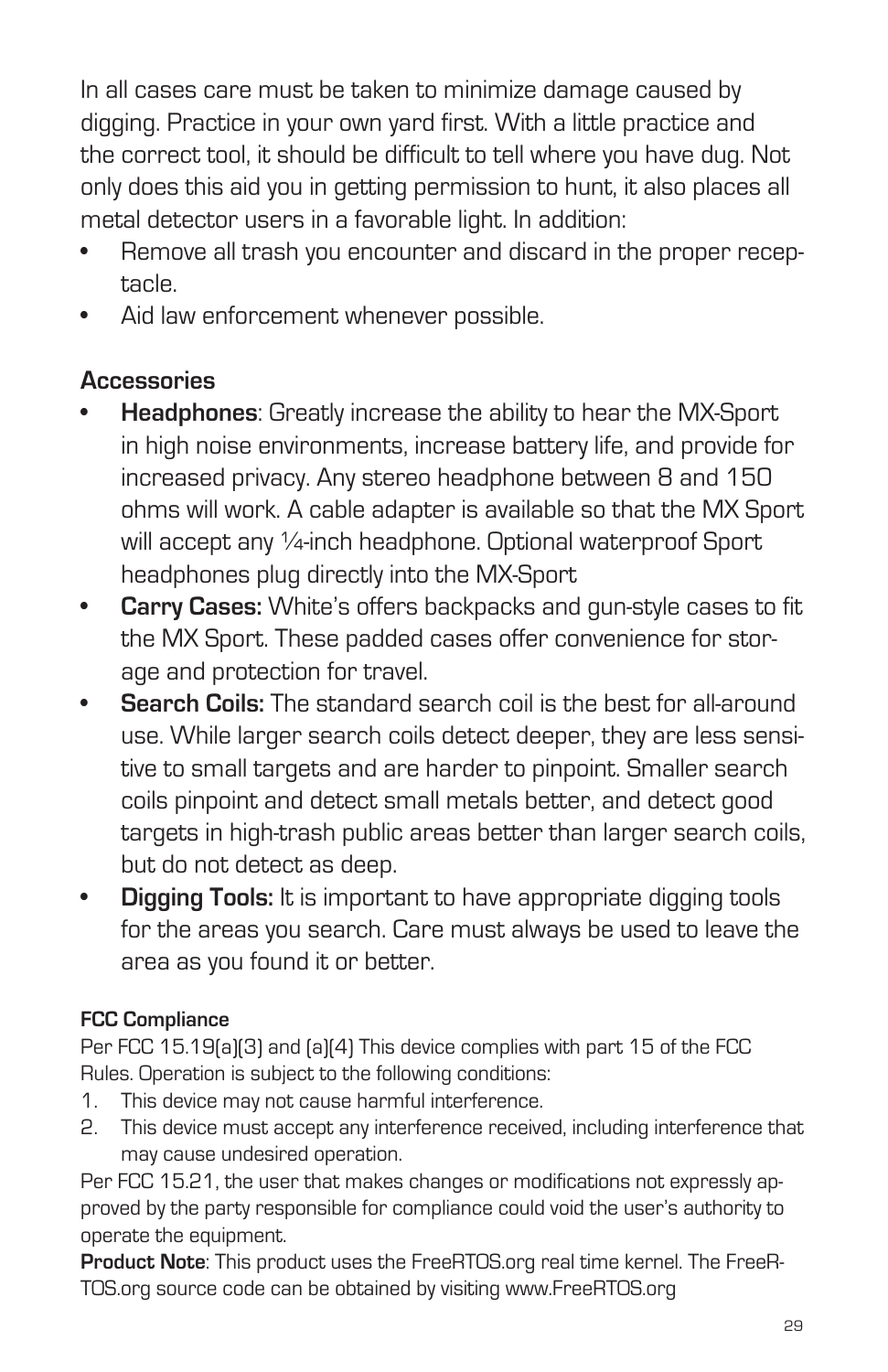In all cases care must be taken to minimize damage caused by digging. Practice in your own yard first. With a little practice and the correct tool, it should be difficult to tell where you have dug. Not only does this aid you in getting permission to hunt, it also places all metal detector users in a favorable light. In addition:

- Remove all trash you encounter and discard in the proper receptacle.
- Aid law enforcement whenever possible.

#### **Accessories**

- **Headphones:** Greatly increase the ability to hear the MX-Sport in high noise environments, increase battery life, and provide for increased privacy. Any stereo headphone between 8 and 150 ohms will work. A cable adapter is available so that the MX Sport will accept any 1/4-inch headphone. Optional waterproof Sport headphones plug directly into the MX-Sport
- **• Carry Cases:** White's offers backpacks and gun-style cases to fit the MX Sport. These padded cases offer convenience for storage and protection for travel.
- **Search Coils:** The standard search coil is the best for all-around use. While larger search coils detect deeper, they are less sensitive to small targets and are harder to pinpoint. Smaller search coils pinpoint and detect small metals better, and detect good targets in high-trash public areas better than larger search coils, but do not detect as deep.
- **Digging Tools:** It is important to have appropriate digging tools for the areas you search. Care must always be used to leave the area as you found it or better.

#### **FCC Compliance**

Per FCC 15.19(a)(3) and (a)(4) This device complies with part 15 of the FCC Rules. Operation is subject to the following conditions:

- 1. This device may not cause harmful interference.
- 2. This device must accept any interference received, including interference that may cause undesired operation.

Per FCC 15.21, the user that makes changes or modifications not expressly approved by the party responsible for compliance could void the user's authority to operate the equipment.

**Product Note**: This product uses the FreeRTOS.org real time kernel. The FreeR-TOS.org source code can be obtained by visiting www.FreeRTOS.org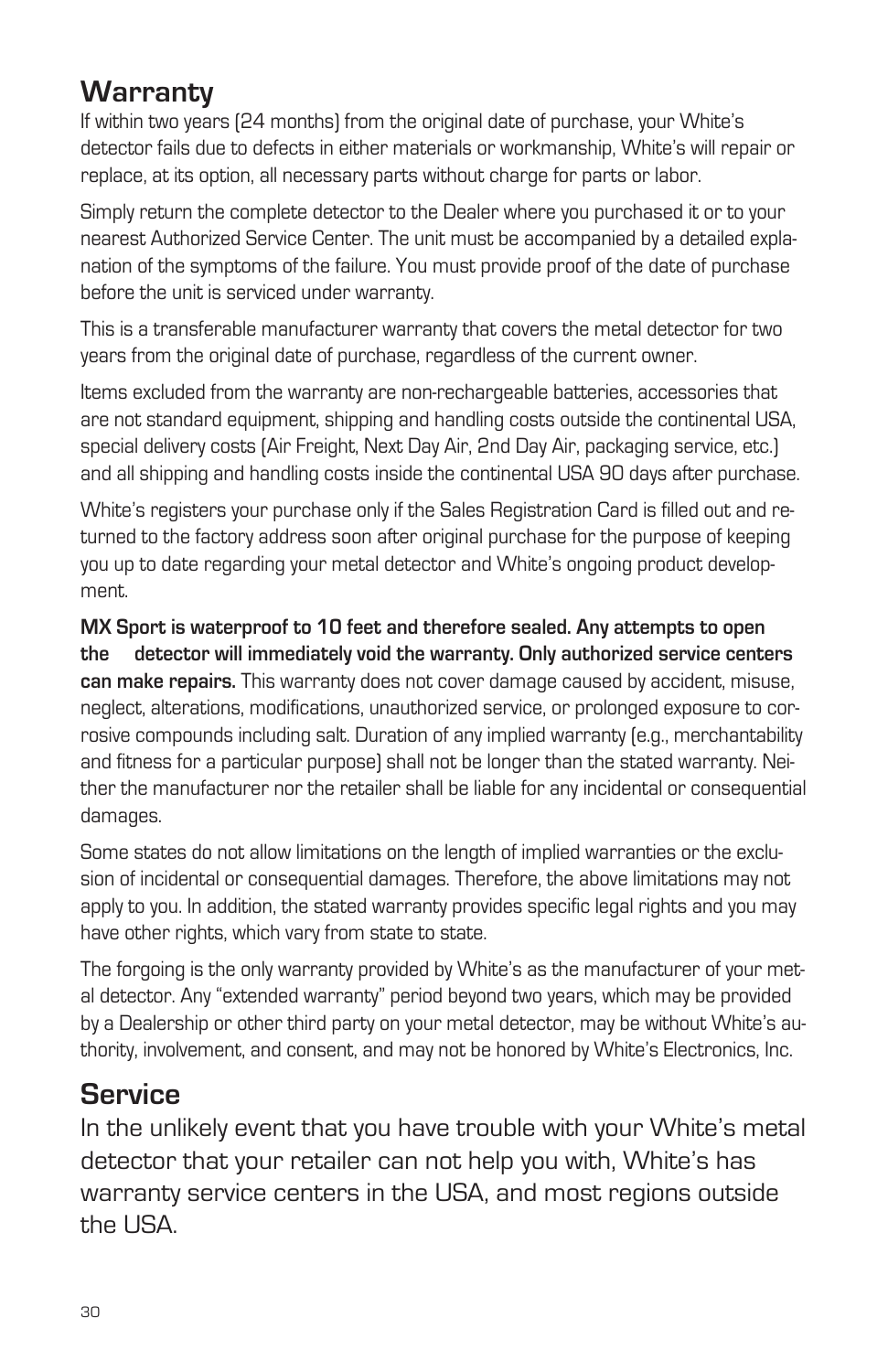# **Warranty**

If within two years (24 months) from the original date of purchase, your White's detector fails due to defects in either materials or workmanship, White's will repair or replace, at its option, all necessary parts without charge for parts or labor.

Simply return the complete detector to the Dealer where you purchased it or to your nearest Authorized Service Center. The unit must be accompanied by a detailed explanation of the symptoms of the failure. You must provide proof of the date of purchase before the unit is serviced under warranty.

This is a transferable manufacturer warranty that covers the metal detector for two years from the original date of purchase, regardless of the current owner.

Items excluded from the warranty are non-rechargeable batteries, accessories that are not standard equipment, shipping and handling costs outside the continental USA, special delivery costs (Air Freight, Next Day Air, 2nd Day Air, packaging service, etc.) and all shipping and handling costs inside the continental USA 90 days after purchase.

White's registers your purchase only if the Sales Registration Card is filled out and returned to the factory address soon after original purchase for the purpose of keeping you up to date regarding your metal detector and White's ongoing product development.

**MX Sport is waterproof to 10 feet and therefore sealed. Any attempts to open the detector will immediately void the warranty. Only authorized service centers can make repairs.** This warranty does not cover damage caused by accident, misuse, neglect, alterations, modifications, unauthorized service, or prolonged exposure to corrosive compounds including salt. Duration of any implied warranty (e.g., merchantability and fitness for a particular purpose) shall not be longer than the stated warranty. Neither the manufacturer nor the retailer shall be liable for any incidental or consequential damages.

Some states do not allow limitations on the length of implied warranties or the exclusion of incidental or consequential damages. Therefore, the above limitations may not apply to you. In addition, the stated warranty provides specific legal rights and you may have other rights, which vary from state to state.

The forgoing is the only warranty provided by White's as the manufacturer of your metal detector. Any "extended warranty" period beyond two years, which may be provided by a Dealership or other third party on your metal detector, may be without White's authority, involvement, and consent, and may not be honored by White's Electronics, Inc.

## **Service**

In the unlikely event that you have trouble with your White's metal detector that your retailer can not help you with, White's has warranty service centers in the USA, and most regions outside the USA.